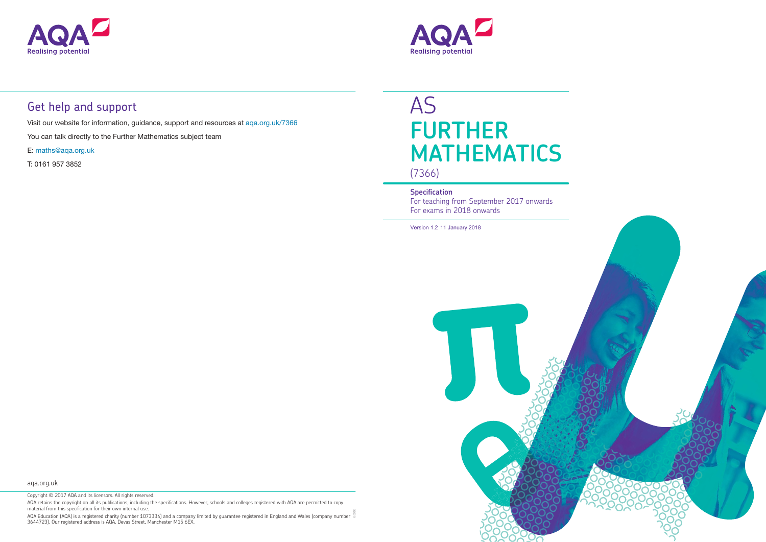

# AS **FURTHER MATHEMATICS** (7366)

# **Specification**

For teaching from September 2017 onwards For exams in 2018 onwards

Version 1.2 11 January 2018

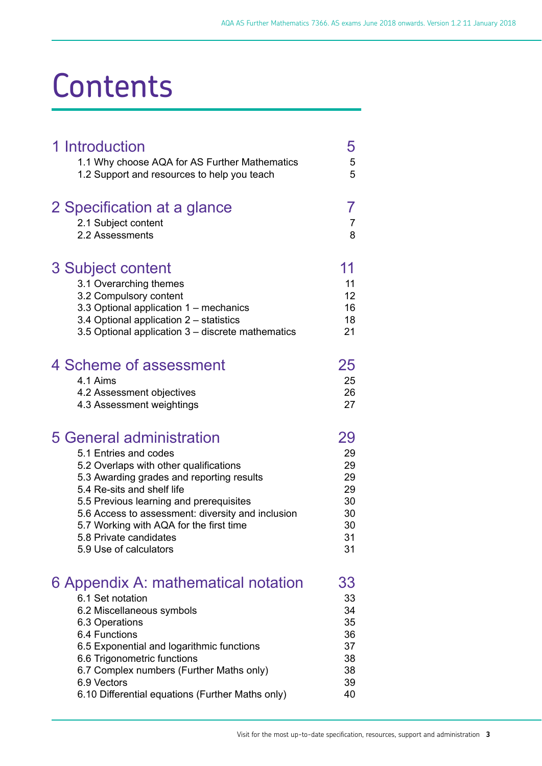# **Contents**

| 1 Introduction<br>1.1 Why choose AQA for AS Further Mathematics<br>1.2 Support and resources to help you teach                                                                                                                                                                                                                                                        | 5<br>5<br>5                                              |
|-----------------------------------------------------------------------------------------------------------------------------------------------------------------------------------------------------------------------------------------------------------------------------------------------------------------------------------------------------------------------|----------------------------------------------------------|
| 2 Specification at a glance<br>2.1 Subject content<br>2.2 Assessments                                                                                                                                                                                                                                                                                                 | 7<br>7<br>8                                              |
| 3 Subject content<br>3.1 Overarching themes<br>3.2 Compulsory content<br>3.3 Optional application 1 - mechanics<br>3.4 Optional application 2 - statistics<br>3.5 Optional application 3 – discrete mathematics                                                                                                                                                       | 11<br>11<br>12<br>16<br>18<br>21                         |
| 4 Scheme of assessment<br>4.1 Aims<br>4.2 Assessment objectives<br>4.3 Assessment weightings                                                                                                                                                                                                                                                                          | 25<br>25<br>26<br>27                                     |
| 5 General administration<br>5.1 Entries and codes<br>5.2 Overlaps with other qualifications<br>5.3 Awarding grades and reporting results<br>5.4 Re-sits and shelf life<br>5.5 Previous learning and prerequisites<br>5.6 Access to assessment: diversity and inclusion<br>5.7 Working with AQA for the first time<br>5.8 Private candidates<br>5.9 Use of calculators | 29<br>29<br>29<br>29<br>29<br>30<br>30<br>30<br>31<br>31 |
| 6 Appendix A: mathematical notation<br>6.1 Set notation<br>6.2 Miscellaneous symbols<br>6.3 Operations<br>6.4 Functions<br>6.5 Exponential and logarithmic functions<br>6.6 Trigonometric functions<br>6.7 Complex numbers (Further Maths only)<br>6.9 Vectors<br>6.10 Differential equations (Further Maths only)                                                    | 33<br>33<br>34<br>35<br>36<br>37<br>38<br>38<br>39<br>40 |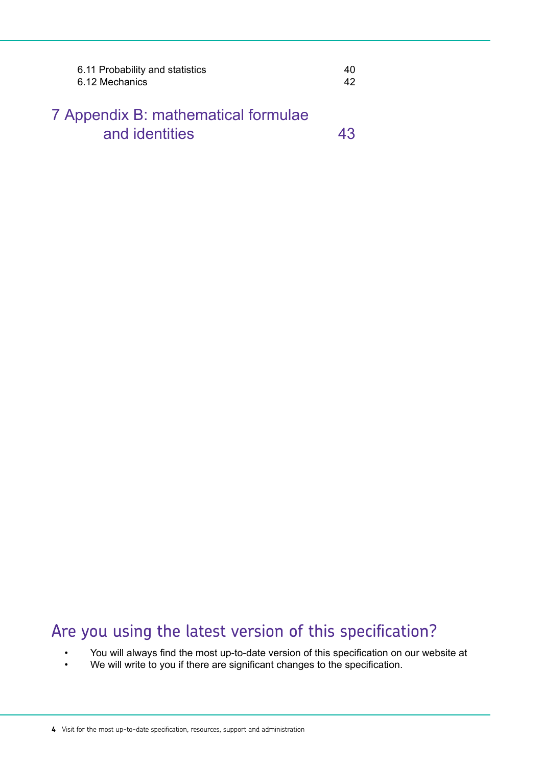| 6.11 Probability and statistics | 40 |
|---------------------------------|----|
| 6.12 Mechanics                  | 42 |

# [7 Appendix B: mathematical formulae](#page-42-0) and identities and identities and identities and the state of  $43$

# Are you using the latest version of this specification?

- You will always find the most up-to-date version of this specification on our website at
- We will write to you if there are significant changes to the specification.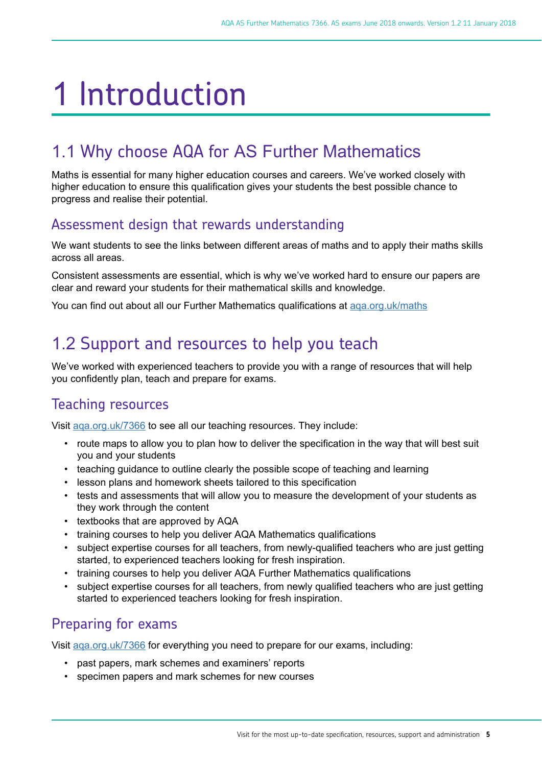# <span id="page-4-0"></span>1 Introduction

# 1.1 Why choose AQA for AS Further Mathematics

Maths is essential for many higher education courses and careers. We've worked closely with higher education to ensure this qualification gives your students the best possible chance to progress and realise their potential.

# Assessment design that rewards understanding

We want students to see the links between different areas of maths and to apply their maths skills across all areas.

Consistent assessments are essential, which is why we've worked hard to ensure our papers are clear and reward your students for their mathematical skills and knowledge.

You can find out about all our Further Mathematics qualifications at [aqa.org.uk/maths](http://www.aqa.org.uk/maths)

# 1.2 Support and resources to help you teach

We've worked with experienced teachers to provide you with a range of resources that will help you confidently plan, teach and prepare for exams.

# Teaching resources

Visit [aqa.org.uk/7366](http://www.aqa.org.uk/7366) to see all our teaching resources. They include:

- route maps to allow you to plan how to deliver the specification in the way that will best suit you and your students
- teaching guidance to outline clearly the possible scope of teaching and learning
- lesson plans and homework sheets tailored to this specification
- tests and assessments that will allow you to measure the development of your students as they work through the content
- textbooks that are approved by AQA
- training courses to help you deliver AQA Mathematics qualifications
- subject expertise courses for all teachers, from newly-qualified teachers who are just getting started, to experienced teachers looking for fresh inspiration.
- training courses to help you deliver AQA Further Mathematics qualifications
- subject expertise courses for all teachers, from newly qualified teachers who are just getting started to experienced teachers looking for fresh inspiration.

# Preparing for exams

Visit [aqa.org.uk/7366](http://www.aqa.org.uk/7366) for everything you need to prepare for our exams, including:

- past papers, mark schemes and examiners' reports
- specimen papers and mark schemes for new courses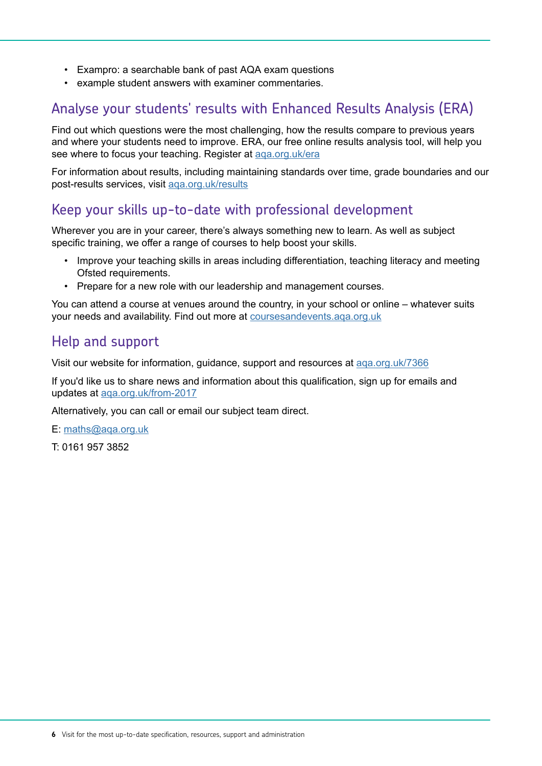- Exampro: a searchable bank of past AQA exam questions
- example student answers with examiner commentaries.

# Analyse your students' results with Enhanced Results Analysis (ERA)

Find out which questions were the most challenging, how the results compare to previous years and where your students need to improve. ERA, our free online results analysis tool, will help you see where to focus your teaching. Register at aga.org.uk/era

For information about results, including maintaining standards over time, grade boundaries and our post-results services, visit [aqa.org.uk/results](http://www.aqa.org.uk/results)

# Keep your skills up-to-date with professional development

Wherever you are in your career, there's always something new to learn. As well as subject specific training, we offer a range of courses to help boost your skills.

- Improve your teaching skills in areas including differentiation, teaching literacy and meeting Ofsted requirements.
- Prepare for a new role with our leadership and management courses.

You can attend a course at venues around the country, in your school or online – whatever suits your needs and availability. Find out more at [coursesandevents.aqa.org.uk](http://coursesandevents.aqa.org.uk/)

# Help and support

Visit our website for information, guidance, support and resources at [aqa.org.uk/7366](http://www.aqa.org.uk/7366)

If you'd like us to share news and information about this qualification, sign up for emails and updates at [aqa.org.uk/from-2017](http://www.aqa.org.uk/from-2017)

Alternatively, you can call or email our subject team direct.

E: [maths@aqa.org.uk](mailto:maths@aqa.org.uk)

T: 0161 957 3852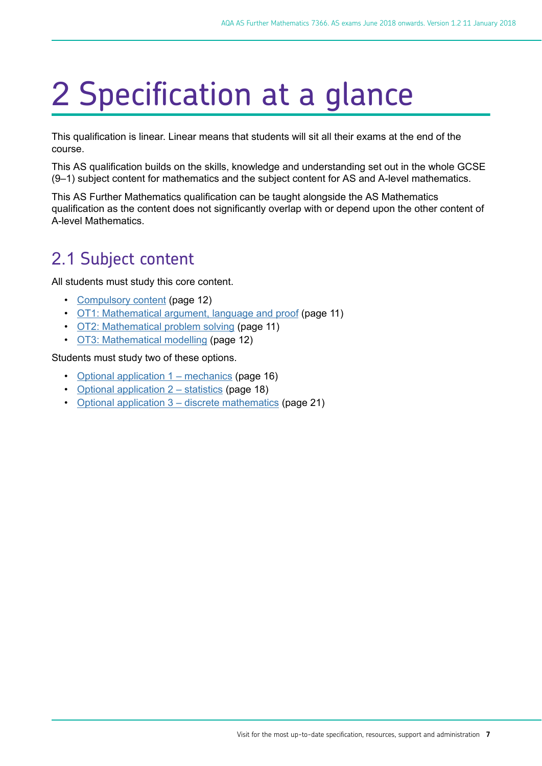# <span id="page-6-0"></span>2 Specification at a glance

This qualification is linear. Linear means that students will sit all their exams at the end of the course.

This AS qualification builds on the skills, knowledge and understanding set out in the whole GCSE (9–1) subject content for mathematics and the subject content for AS and A-level mathematics.

This AS Further Mathematics qualification can be taught alongside the AS Mathematics qualification as the content does not significantly overlap with or depend upon the other content of A-level Mathematics.

# 2.1 Subject content

All students must study this core content.

- [Compulsory content](#page-11-0) (page 12)
- [OT1: Mathematical argument, language and proof](#page-10-0) (page 11)
- [OT2: Mathematical problem solving](#page-10-0) (page 11)
- [OT3: Mathematical modelling](#page-11-0) (page 12)

#### Students must study two of these options.

- [Optional application 1 mechanics](#page-15-0) (page 16)
- [Optional application 2 statistics](#page-17-0) (page 18)
- [Optional application 3 discrete mathematics](#page-20-0) (page 21)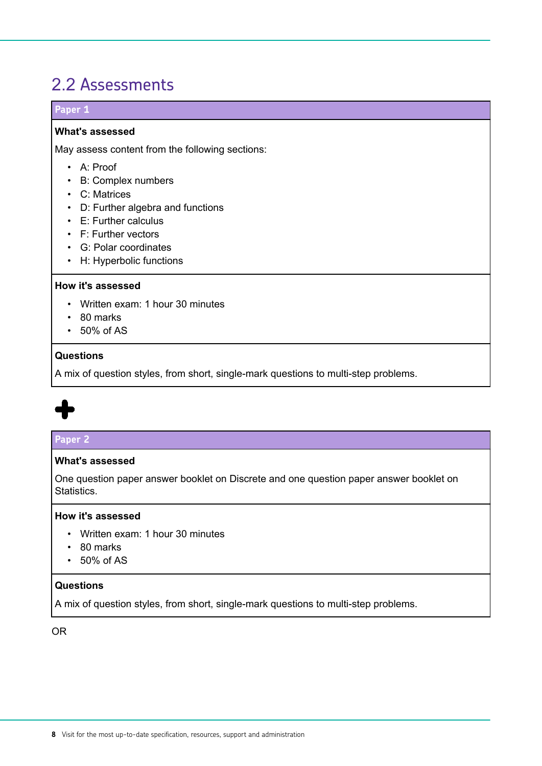# <span id="page-7-0"></span>2.2 Assessments

# **Paper 1**

# **What's assessed**

May assess content from the following sections:

- A: Proof
- B: Complex numbers
- C: Matrices
- D: Further algebra and functions
- E: Further calculus
- F: Further vectors
- G: Polar coordinates
- H: Hyperbolic functions

# **How it's assessed**

- Written exam: 1 hour 30 minutes
- 80 marks
- 50% of AS

# **Questions**

A mix of question styles, from short, single-mark questions to multi-step problems.



# **Paper 2**

#### **What's assessed**

One question paper answer booklet on Discrete and one question paper answer booklet on Statistics.

#### **How it's assessed**

- Written exam: 1 hour 30 minutes
- 80 marks
- 50% of AS

# **Questions**

A mix of question styles, from short, single-mark questions to multi-step problems.

OR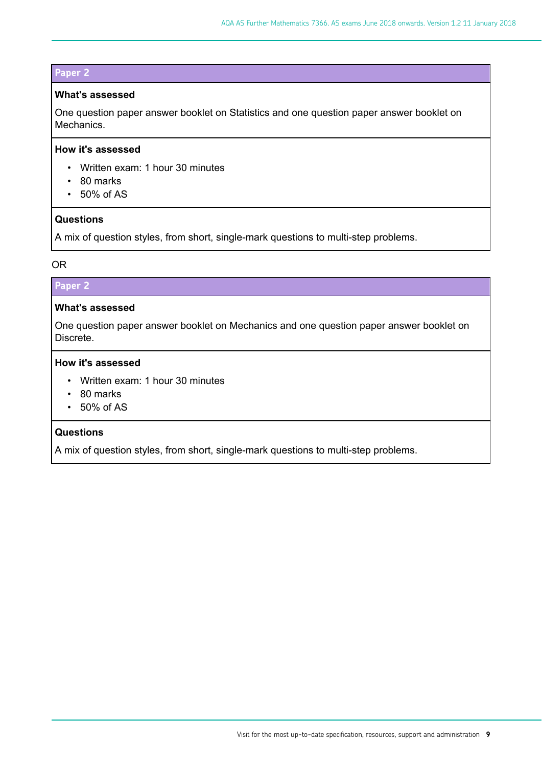#### **Paper 2**

#### **What's assessed**

One question paper answer booklet on Statistics and one question paper answer booklet on Mechanics.

#### **How it's assessed**

- Written exam: 1 hour 30 minutes
- 80 marks
- 50% of AS

#### **Questions**

A mix of question styles, from short, single-mark questions to multi-step problems.

# OR

# **Paper 2**

# **What's assessed**

One question paper answer booklet on Mechanics and one question paper answer booklet on Discrete.

#### **How it's assessed**

- Written exam: 1 hour 30 minutes
- 80 marks
- 50% of AS

#### **Questions**

A mix of question styles, from short, single-mark questions to multi-step problems.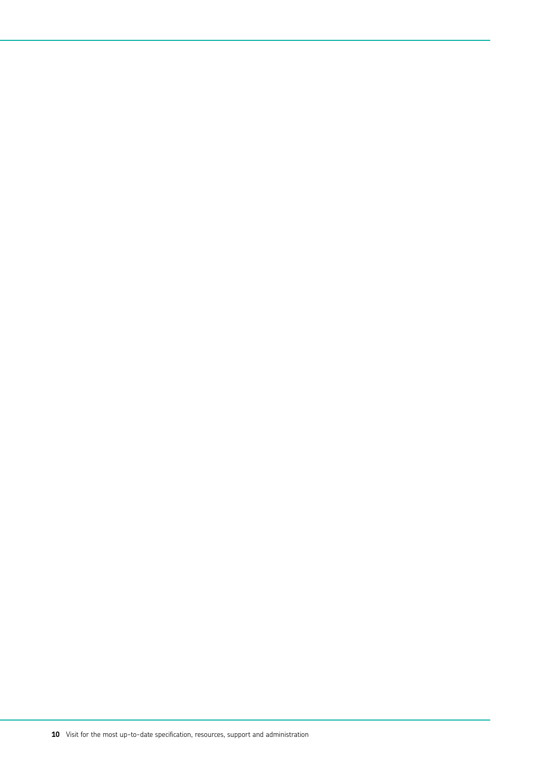10 Visit for the most up-to-date specification, resources, support and administration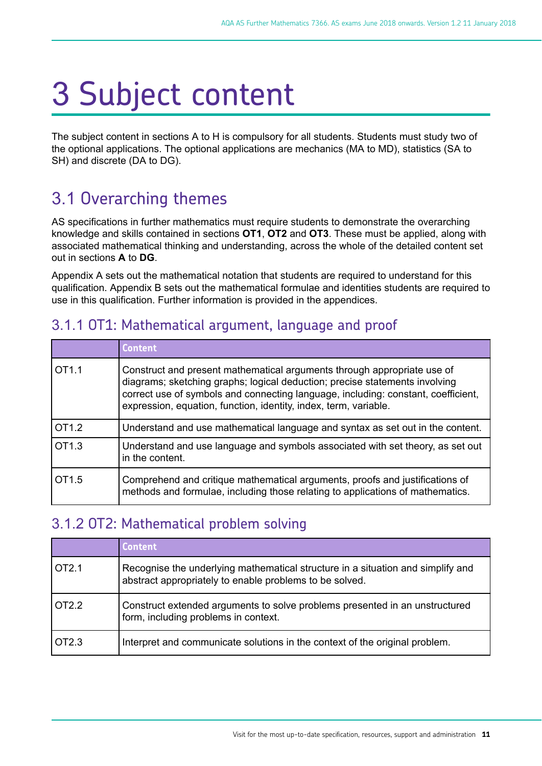# <span id="page-10-0"></span>3 Subject content

The subject content in sections A to H is compulsory for all students. Students must study two of the optional applications. The optional applications are mechanics (MA to MD), statistics (SA to SH) and discrete (DA to DG).

# 3.1 Overarching themes

AS specifications in further mathematics must require students to demonstrate the overarching knowledge and skills contained in sections **OT1**, **OT2** and **OT3**. These must be applied, along with associated mathematical thinking and understanding, across the whole of the detailed content set out in sections **A** to **DG**.

Appendix A sets out the mathematical notation that students are required to understand for this qualification. Appendix B sets out the mathematical formulae and identities students are required to use in this qualification. Further information is provided in the appendices.

# 3.1.1 OT1: Mathematical argument, language and proof

|                   | <b>Content</b>                                                                                                                                                                                                                                                                                                  |
|-------------------|-----------------------------------------------------------------------------------------------------------------------------------------------------------------------------------------------------------------------------------------------------------------------------------------------------------------|
| OT <sub>1.1</sub> | Construct and present mathematical arguments through appropriate use of<br>diagrams; sketching graphs; logical deduction; precise statements involving<br>correct use of symbols and connecting language, including: constant, coefficient,<br>expression, equation, function, identity, index, term, variable. |
| OT <sub>1.2</sub> | Understand and use mathematical language and syntax as set out in the content.                                                                                                                                                                                                                                  |
| $O$ T1.3          | Understand and use language and symbols associated with set theory, as set out<br>in the content.                                                                                                                                                                                                               |
| OT <sub>1.5</sub> | Comprehend and critique mathematical arguments, proofs and justifications of<br>methods and formulae, including those relating to applications of mathematics.                                                                                                                                                  |

# 3.1.2 OT2: Mathematical problem solving

|                     | <b>Content</b>                                                                                                                             |
|---------------------|--------------------------------------------------------------------------------------------------------------------------------------------|
| I OT2.1             | Recognise the underlying mathematical structure in a situation and simplify and<br>abstract appropriately to enable problems to be solved. |
| I OT2.2             | Construct extended arguments to solve problems presented in an unstructured<br>form, including problems in context.                        |
| $\overline{)$ OT2.3 | Interpret and communicate solutions in the context of the original problem.                                                                |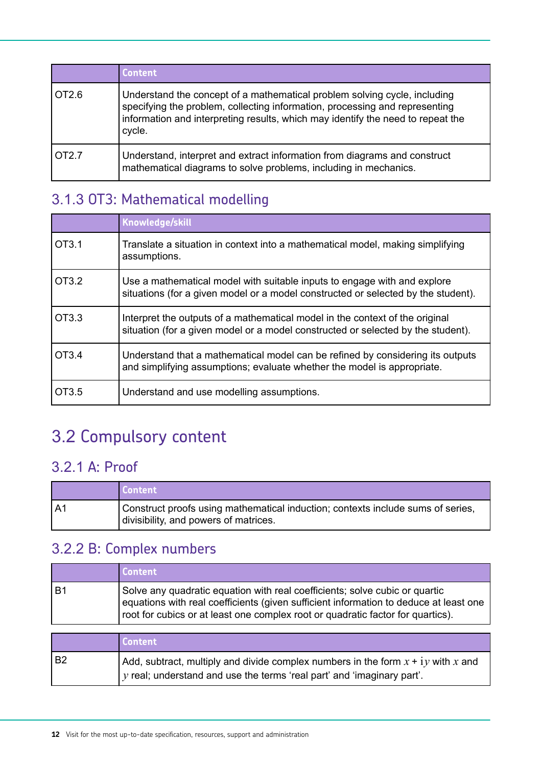<span id="page-11-0"></span>

|       | <b>Content</b>                                                                                                                                                                                                                                        |
|-------|-------------------------------------------------------------------------------------------------------------------------------------------------------------------------------------------------------------------------------------------------------|
| OT2.6 | Understand the concept of a mathematical problem solving cycle, including<br>specifying the problem, collecting information, processing and representing<br>information and interpreting results, which may identify the need to repeat the<br>cycle. |
| OT2.7 | Understand, interpret and extract information from diagrams and construct<br>mathematical diagrams to solve problems, including in mechanics.                                                                                                         |

# 3.1.3 OT3: Mathematical modelling

|       | Knowledge/skill                                                                                                                                                  |
|-------|------------------------------------------------------------------------------------------------------------------------------------------------------------------|
| OT3.1 | Translate a situation in context into a mathematical model, making simplifying<br>assumptions.                                                                   |
| OT3.2 | Use a mathematical model with suitable inputs to engage with and explore<br>situations (for a given model or a model constructed or selected by the student).    |
| OT3.3 | Interpret the outputs of a mathematical model in the context of the original<br>situation (for a given model or a model constructed or selected by the student). |
| OT3.4 | Understand that a mathematical model can be refined by considering its outputs<br>and simplifying assumptions; evaluate whether the model is appropriate.        |
| OT3.5 | Understand and use modelling assumptions.                                                                                                                        |

# 3.2 Compulsory content

# 3.2.1 A: Proof

|     | <b>Content</b>                                                                                                           |
|-----|--------------------------------------------------------------------------------------------------------------------------|
| IA1 | Construct proofs using mathematical induction; contexts include sums of series,<br>divisibility, and powers of matrices. |

# 3.2.2 B: Complex numbers

|      | <b>Content</b>                                                                                                                                                                                                                                          |
|------|---------------------------------------------------------------------------------------------------------------------------------------------------------------------------------------------------------------------------------------------------------|
| i B1 | Solve any quadratic equation with real coefficients; solve cubic or quartic<br>equations with real coefficients (given sufficient information to deduce at least one<br>root for cubics or at least one complex root or quadratic factor for quartics). |

| $\vert y$ real; understand and use the terms 'real part' and 'imaginary part'. |
|--------------------------------------------------------------------------------|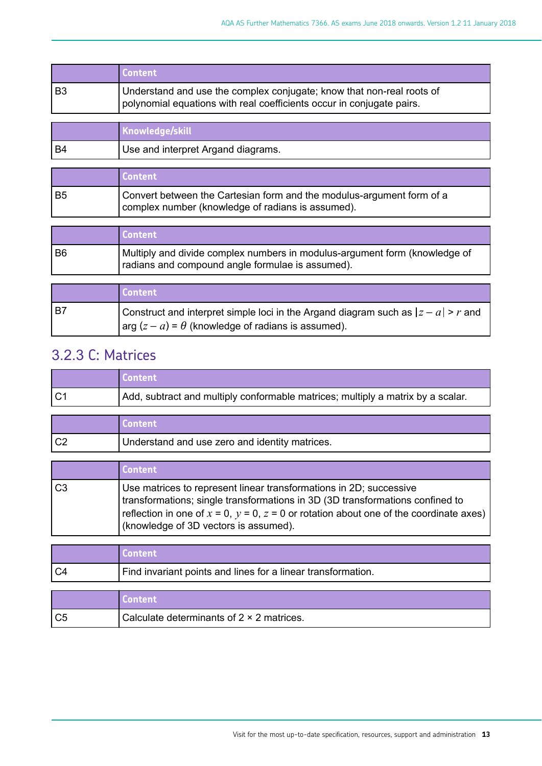|      | <b>Content</b>                                                                                                                                 |
|------|------------------------------------------------------------------------------------------------------------------------------------------------|
| l B3 | Understand and use the complex conjugate; know that non-real roots of<br>polynomial equations with real coefficients occur in conjugate pairs. |

|      | Knowledge/skill                    |
|------|------------------------------------|
| l B4 | Use and interpret Argand diagrams. |

|      | l Content <i>i</i>                                                                                                         |
|------|----------------------------------------------------------------------------------------------------------------------------|
| l B5 | Convert between the Cartesian form and the modulus-argument form of a<br>complex number (knowledge of radians is assumed). |

|      | Content                                                                                                                          |
|------|----------------------------------------------------------------------------------------------------------------------------------|
| l B6 | Multiply and divide complex numbers in modulus-argument form (knowledge of<br>I radians and compound angle formulae is assumed). |

|      | <b>Content</b>                                                                                                                                           |
|------|----------------------------------------------------------------------------------------------------------------------------------------------------------|
| l B7 | Construct and interpret simple loci in the Argand diagram such as $ z - a  > r$ and<br>$\vert$ arg $(z-a)$ = $\theta$ (knowledge of radians is assumed). |

# 3.2.3 C: Matrices

|     | <b>Content</b>                                                                  |
|-----|---------------------------------------------------------------------------------|
| lC1 | Add, subtract and multiply conformable matrices; multiply a matrix by a scalar. |

|      | <b>Content</b>                                 |
|------|------------------------------------------------|
| l C2 | Understand and use zero and identity matrices. |

|      | <b>Content</b>                                                                                                                                                                                                                                                                                 |
|------|------------------------------------------------------------------------------------------------------------------------------------------------------------------------------------------------------------------------------------------------------------------------------------------------|
| l C3 | Use matrices to represent linear transformations in 2D; successive<br>transformations; single transformations in 3D (3D transformations confined to<br>reflection in one of $x = 0$ , $y = 0$ , $z = 0$ or rotation about one of the coordinate axes)<br>(knowledge of 3D vectors is assumed). |

| l C4 | Find invariant points and lines for a linear transformation. |
|------|--------------------------------------------------------------|
|      |                                                              |

|      | <b>Content</b>                                   |
|------|--------------------------------------------------|
| l C5 | Calculate determinants of $2 \times 2$ matrices. |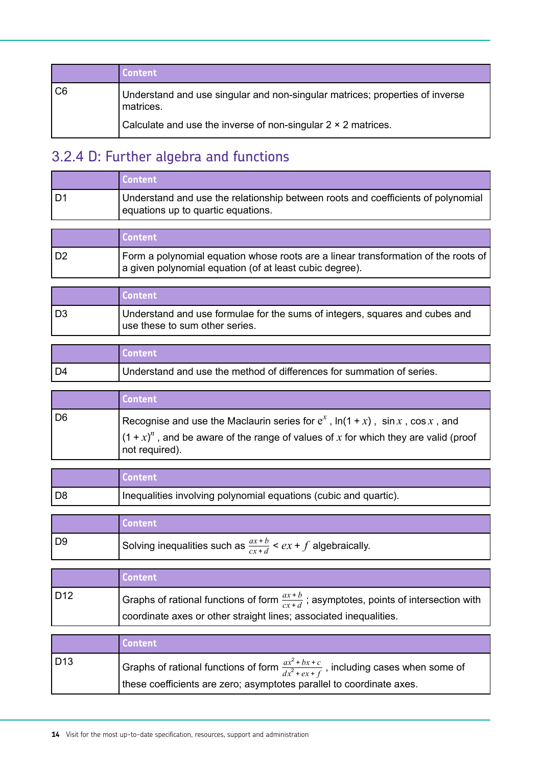|     | <b>Content</b>                                                                            |
|-----|-------------------------------------------------------------------------------------------|
| IC6 | Understand and use singular and non-singular matrices; properties of inverse<br>matrices. |
|     | Calculate and use the inverse of non-singular $2 \times 2$ matrices.                      |

# 3.2.4 D: Further algebra and functions

|      | <b>Content</b> /                                                                                                       |
|------|------------------------------------------------------------------------------------------------------------------------|
| l D1 | Understand and use the relationship between roots and coefficients of polynomial<br>equations up to quartic equations. |

|      | <b>Content</b>                                                                                                                                  |
|------|-------------------------------------------------------------------------------------------------------------------------------------------------|
| l D2 | Form a polynomial equation whose roots are a linear transformation of the roots of  <br>a given polynomial equation (of at least cubic degree). |

|      | <b>Content</b>                                                                                                |
|------|---------------------------------------------------------------------------------------------------------------|
| l D3 | Understand and use formulae for the sums of integers, squares and cubes and<br>use these to sum other series. |

|      | LContent!                                                             |
|------|-----------------------------------------------------------------------|
| l D4 | Understand and use the method of differences for summation of series. |

| onten                                                                                                                |
|----------------------------------------------------------------------------------------------------------------------|
| Recognise and use the Maclaurin series for $e^x$ , $ln(1+x)$ , $sin x$ , $cos x$ , and                               |
| $\prime$ , and be aware of the range of values of x for which they are valid (proof<br>$(1 + x)^n$<br>not required). |

|      | <b>Content</b>                                                   |
|------|------------------------------------------------------------------|
| l D8 | Inequalities involving polynomial equations (cubic and quartic). |

|    | <b>Content</b>                                                         |
|----|------------------------------------------------------------------------|
| D9 | Solving inequalities such as $\frac{ax+b}{cx+d} < ex+f$ algebraically. |

|     | Content                                                                                            |
|-----|----------------------------------------------------------------------------------------------------|
| D12 | Graphs of rational functions of form $\frac{ax+b}{cx+d}$ ; asymptotes, points of intersection with |
|     | coordinate axes or other straight lines; associated inequalities.                                  |

|       | <b>Content</b>                                                                                            |
|-------|-----------------------------------------------------------------------------------------------------------|
| l D13 | Graphs of rational functions of form $\frac{ax^2 + bx + c}{dx^2 + ex + f}$ , including cases when some of |
|       | these coefficients are zero; asymptotes parallel to coordinate axes.                                      |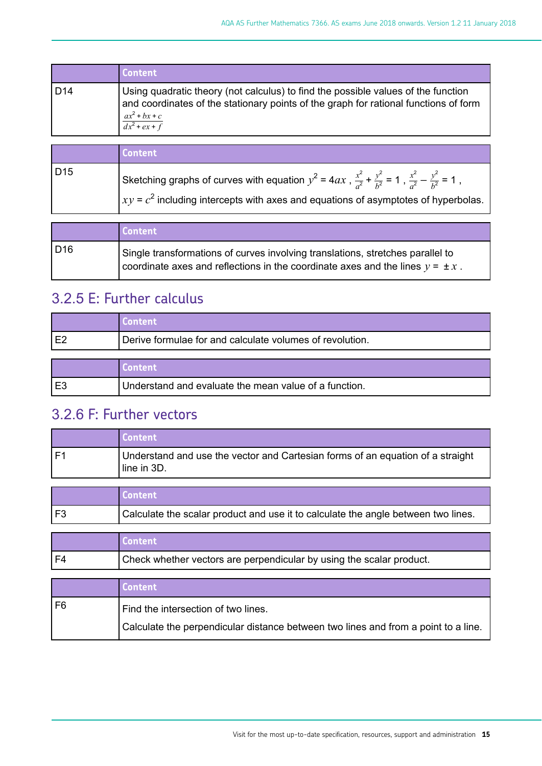|       | <b>Content</b>                                                                                                                                                                                             |
|-------|------------------------------------------------------------------------------------------------------------------------------------------------------------------------------------------------------------|
| l D14 | Using quadratic theory (not calculus) to find the possible values of the function<br>and coordinates of the stationary points of the graph for rational functions of form<br>$\frac{ax^2+bx+c}{dx^2+ex+f}$ |

|     | <b>Content</b>                                                                                                                                                                                                                          |
|-----|-----------------------------------------------------------------------------------------------------------------------------------------------------------------------------------------------------------------------------------------|
| D15 | Sketching graphs of curves with equation $y^2 = 4ax$ , $\frac{x^2}{a^2} + \frac{y^2}{b^2} = 1$ , $\frac{x^2}{a^2} - \frac{y^2}{b^2} = 1$ ,<br>$\int xy = c^2$ including intercepts with axes and equations of asymptotes of hyperbolas. |

|     | <b>Content</b>                                                                                                                                                       |
|-----|----------------------------------------------------------------------------------------------------------------------------------------------------------------------|
| D16 | Single transformations of curves involving translations, stretches parallel to<br>coordinate axes and reflections in the coordinate axes and the lines $y = \pm x$ . |

# 3.2.5 E: Further calculus

|     | Content                                                  |
|-----|----------------------------------------------------------|
| ⊥⊏⊆ | Derive formulae for and calculate volumes of revolution. |
|     |                                                          |

|      | <b>Content</b>                                        |
|------|-------------------------------------------------------|
| l E3 | Understand and evaluate the mean value of a function. |

# 3.2.6 F: Further vectors

| <b>Content</b>                                                                                  |
|-------------------------------------------------------------------------------------------------|
| Understand and use the vector and Cartesian forms of an equation of a straight<br>l line in 3D. |
|                                                                                                 |
|                                                                                                 |

|      | Content_                                                                          |
|------|-----------------------------------------------------------------------------------|
| l F3 | Calculate the scalar product and use it to calculate the angle between two lines. |

|      | <b>Content</b>                                                       |
|------|----------------------------------------------------------------------|
| l F4 | Check whether vectors are perpendicular by using the scalar product. |
|      |                                                                      |

|      | <b>Content</b>                                                                     |
|------|------------------------------------------------------------------------------------|
| l F6 | Find the intersection of two lines.                                                |
|      | Calculate the perpendicular distance between two lines and from a point to a line. |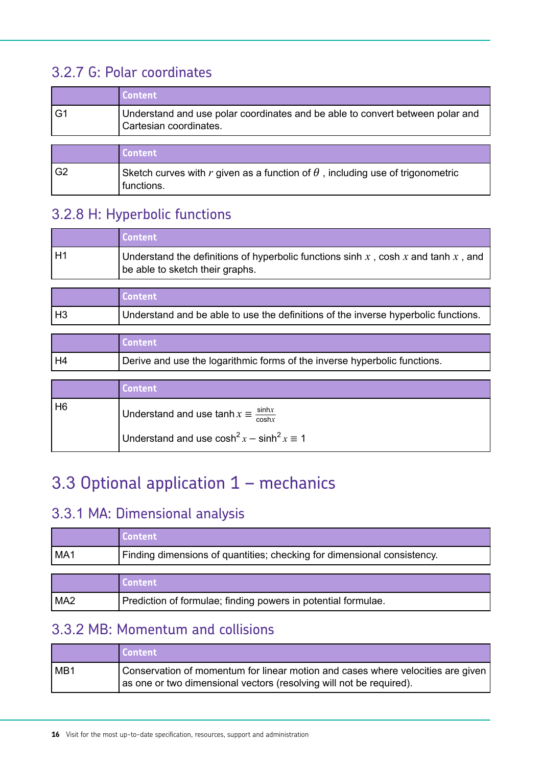# <span id="page-15-0"></span>3.2.7 G: Polar coordinates

|                | Content'                                                                                                |
|----------------|---------------------------------------------------------------------------------------------------------|
| G1             | Understand and use polar coordinates and be able to convert between polar and<br>Cartesian coordinates. |
|                |                                                                                                         |
|                | Content                                                                                                 |
| G <sub>2</sub> | Sketch curves with r given as a function of $\theta$ , including use of trigonometric<br>functions.     |

# 3.2.8 H: Hyperbolic functions

|      | <b>Content</b>                                                                                                               |
|------|------------------------------------------------------------------------------------------------------------------------------|
| l H1 | Understand the definitions of hyperbolic functions sinh $x$ , cosh $x$ and tanh $x$ , and<br>be able to sketch their graphs. |

|    | <b>Content</b>                                                                     |
|----|------------------------------------------------------------------------------------|
| H3 | Understand and be able to use the definitions of the inverse hyperbolic functions. |

|      | <b>Content</b>                                                            |
|------|---------------------------------------------------------------------------|
| l H4 | Derive and use the logarithmic forms of the inverse hyperbolic functions. |

|                | Content                                                                   |
|----------------|---------------------------------------------------------------------------|
| H <sub>6</sub> | Understand and use tanh $x \equiv \frac{\sinh x}{\cosh x}$                |
|                | Understand and use cosh <sup>2</sup> $x$ – sinh <sup>2</sup> $x \equiv 1$ |

# 3.3 Optional application 1 – mechanics

# 3.3.1 MA: Dimensional analysis

|                 | <b>Content</b>                                                          |
|-----------------|-------------------------------------------------------------------------|
| MA1             | Finding dimensions of quantities; checking for dimensional consistency. |
|                 |                                                                         |
|                 | <b>Content</b>                                                          |
| MA <sub>2</sub> | Prediction of formulae; finding powers in potential formulae.           |

# 3.3.2 MB: Momentum and collisions

|     | <b>Content</b>                                                                                                                                         |
|-----|--------------------------------------------------------------------------------------------------------------------------------------------------------|
| MB1 | Conservation of momentum for linear motion and cases where velocities are given<br>as one or two dimensional vectors (resolving will not be required). |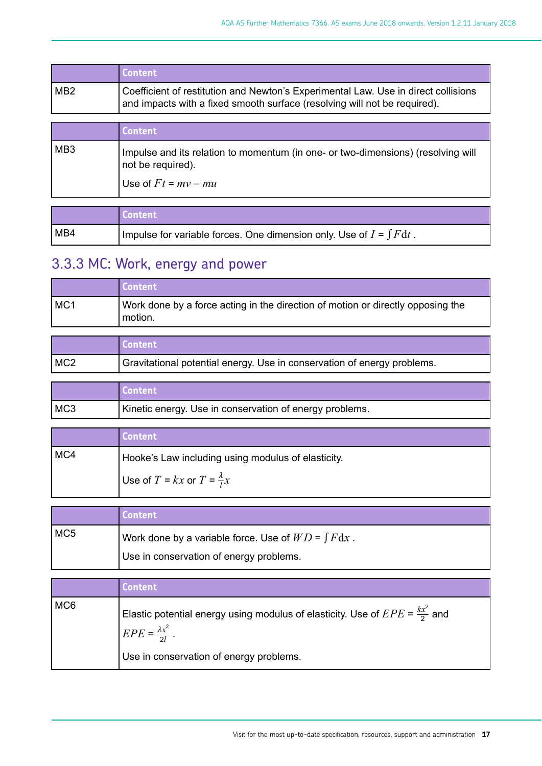|       | <b>Content</b>                                                                                                                                                  |
|-------|-----------------------------------------------------------------------------------------------------------------------------------------------------------------|
| l MB2 | Coefficient of restitution and Newton's Experimental Law. Use in direct collisions<br>and impacts with a fixed smooth surface (resolving will not be required). |

|                 | Content                                                                                                                        |
|-----------------|--------------------------------------------------------------------------------------------------------------------------------|
| MB <sub>3</sub> | Impulse and its relation to momentum (in one- or two-dimensions) (resolving will<br>not be required).<br>Use of $Ft = mv - mu$ |
|                 |                                                                                                                                |

|       | <b>N</b> Content                                                            |
|-------|-----------------------------------------------------------------------------|
| l MB4 | I Impulse for variable forces. One dimension only. Use of $I = \int F dt$ . |

# 3.3.3 MC: Work, energy and power

|     | <b>Content</b>                                                                             |
|-----|--------------------------------------------------------------------------------------------|
| MC1 | Work done by a force acting in the direction of motion or directly opposing the<br>motion. |

|     | <b>Content</b>                                                          |
|-----|-------------------------------------------------------------------------|
| MC2 | Gravitational potential energy. Use in conservation of energy problems. |

|     | <b>Content</b>                                          |
|-----|---------------------------------------------------------|
| MC3 | Kinetic energy. Use in conservation of energy problems. |

|     | Content                                            |
|-----|----------------------------------------------------|
| MC4 | Hooke's Law including using modulus of elasticity. |
|     | Use of $T = kx$ or $T = \frac{\lambda}{l}x$        |

|     | Content                                                  |
|-----|----------------------------------------------------------|
| MC5 | Work done by a variable force. Use of $WD = \int F dx$ . |
|     | Use in conservation of energy problems.                  |

| $^{\prime}$ Elastic potential energy using modulus of elasticity. Use of $EPE$ = $\frac{kx^2}{2}$ and |     | <b>Content</b>                   |
|-------------------------------------------------------------------------------------------------------|-----|----------------------------------|
| Use in conservation of energy problems.                                                               | MC6 | $EPE = \frac{\lambda x^2}{2l}$ . |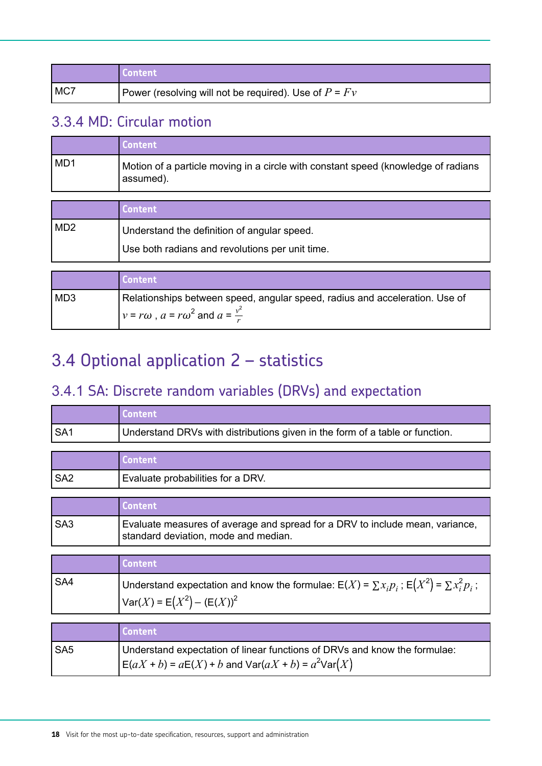<span id="page-17-0"></span>

|     | l Content <b>\</b>                                      |
|-----|---------------------------------------------------------|
| MC7 | Power (resolving will not be required). Use of $P = Fv$ |

# 3.3.4 MD: Circular motion

|     | <b>Content</b>                                                                                 |
|-----|------------------------------------------------------------------------------------------------|
| MD1 | Motion of a particle moving in a circle with constant speed (knowledge of radians<br>assumed). |
|     |                                                                                                |

|                 | <b>Content</b>                                  |
|-----------------|-------------------------------------------------|
| MD <sub>2</sub> | Understand the definition of angular speed.     |
|                 | Use both radians and revolutions per unit time. |

|     | <b>Content</b>                                                                                                                        |  |
|-----|---------------------------------------------------------------------------------------------------------------------------------------|--|
| MD3 | Relationships between speed, angular speed, radius and acceleration. Use of<br>$ v = r\omega$ , $a = r\omega^2$ and $a = \frac{r}{r}$ |  |

# 3.4 Optional application 2 – statistics

# 3.4.1 SA: Discrete random variables (DRVs) and expectation

|                 | Content                                                                                                              |
|-----------------|----------------------------------------------------------------------------------------------------------------------|
| SA <sub>1</sub> | Understand DRVs with distributions given in the form of a table or function.                                         |
|                 |                                                                                                                      |
|                 | <b>Content</b>                                                                                                       |
| SA <sub>2</sub> | Evaluate probabilities for a DRV.                                                                                    |
|                 |                                                                                                                      |
|                 | <b>Content</b>                                                                                                       |
| SA <sub>3</sub> | Evaluate measures of average and spread for a DRV to include mean, variance,<br>standard deviation, mode and median. |
|                 |                                                                                                                      |
|                 | <b>inntent</b>                                                                                                       |

|       | <b>Content</b>                                                                                                                                                  |
|-------|-----------------------------------------------------------------------------------------------------------------------------------------------------------------|
| l SA4 | Understand expectation and know the formulae: $E(X) = \sum x_i p_i$ ; $E(X^2) = \sum x_i^2 p_i$ ;<br>$\big \text{Var}(X) = \mathbb{E}(X^2) - (\mathbb{E}(X))^2$ |
|       |                                                                                                                                                                 |

|     | <b>Content</b>                                                                                                                     |
|-----|------------------------------------------------------------------------------------------------------------------------------------|
| SA5 | Understand expectation of linear functions of DRVs and know the formulae:<br>$E(aX + b) = aE(X) + b$ and $Var(aX + b) = a^2Var(X)$ |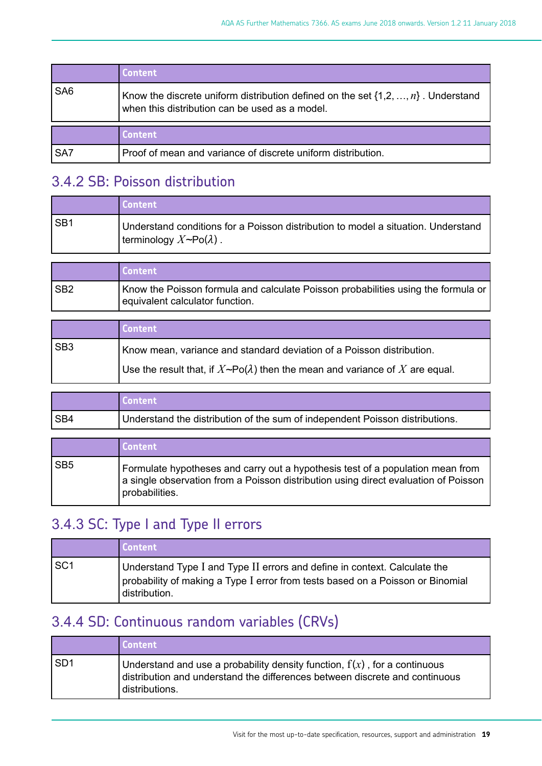|                 | <b>Content</b>                                                                                                                        |
|-----------------|---------------------------------------------------------------------------------------------------------------------------------------|
| SA <sub>6</sub> | Know the discrete uniform distribution defined on the set $\{1,2,,n\}$ . Understand<br>when this distribution can be used as a model. |
|                 | <b>Content</b>                                                                                                                        |
| SA7             | Proof of mean and variance of discrete uniform distribution.                                                                          |

# 3.4.2 SB: Poisson distribution

|       | Content                                                                                                                   |
|-------|---------------------------------------------------------------------------------------------------------------------------|
| l SB1 | Understand conditions for a Poisson distribution to model a situation. Understand<br>I terminology $X \sim Po(\lambda)$ . |

|                 | <b>Content</b>                                                                                                       |
|-----------------|----------------------------------------------------------------------------------------------------------------------|
| SB <sub>2</sub> | Know the Poisson formula and calculate Poisson probabilities using the formula or<br>equivalent calculator function. |

|       | <b>Content</b>                                                                          |
|-------|-----------------------------------------------------------------------------------------|
| l SB3 | Know mean, variance and standard deviation of a Poisson distribution.                   |
|       | Use the result that, if $X \sim Po(\lambda)$ then the mean and variance of X are equal. |

|       | <b>Content</b>                                                               |
|-------|------------------------------------------------------------------------------|
| l SB4 | Understand the distribution of the sum of independent Poisson distributions. |

|     | <b>Content</b>                                                                                                                                                                          |
|-----|-----------------------------------------------------------------------------------------------------------------------------------------------------------------------------------------|
| SB5 | Formulate hypotheses and carry out a hypothesis test of a population mean from<br>a single observation from a Poisson distribution using direct evaluation of Poisson<br>probabilities. |

# 3.4.3 SC: Type I and Type II errors

|       | <b>Content</b>                                                                                                                                                               |
|-------|------------------------------------------------------------------------------------------------------------------------------------------------------------------------------|
| l SC1 | Understand Type I and Type II errors and define in context. Calculate the<br>probability of making a Type I error from tests based on a Poisson or Binomial<br>distribution. |

# 3.4.4 SD: Continuous random variables (CRVs)

|       | Content                                                                                                                                                                       |
|-------|-------------------------------------------------------------------------------------------------------------------------------------------------------------------------------|
| l SD1 | Understand and use a probability density function, $f(x)$ , for a continuous<br>distribution and understand the differences between discrete and continuous<br>distributions. |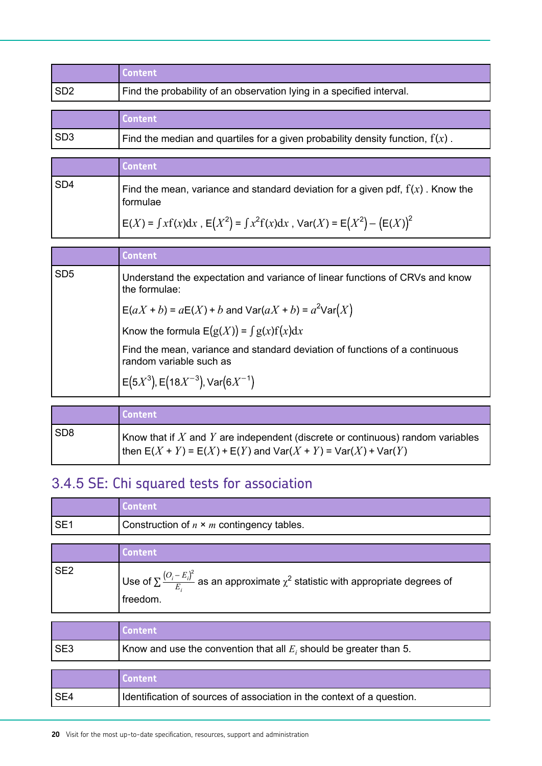|       | <b>Content</b>                                                        |
|-------|-----------------------------------------------------------------------|
| l SD2 | Find the probability of an observation lying in a specified interval. |
|       |                                                                       |
|       |                                                                       |

| Find the median and quartiles for a given probability density function, $f(x)$ . |     | a second company of the second company<br>ontent |
|----------------------------------------------------------------------------------|-----|--------------------------------------------------|
|                                                                                  | SD3 |                                                  |

|     | <b>\Content</b>                                                                                 |  |
|-----|-------------------------------------------------------------------------------------------------|--|
| SD4 | Find the mean, variance and standard deviation for a given pdf, $f(x)$ . Know the<br>I formulae |  |
|     | $\big E(X) = \int x f(x) dx$ , $E(X^2) = \int x^2 f(x) dx$ , $Var(X) = E(X^2) - (E(X))^2$       |  |

|                 | Content                                                                                                |
|-----------------|--------------------------------------------------------------------------------------------------------|
| SD <sub>5</sub> | Understand the expectation and variance of linear functions of CRVs and know<br>the formulae:          |
|                 | $E(aX + b) = aE(X) + b$ and $Var(aX + b) = a^2Var(X)$                                                  |
|                 | Know the formula $E(g(X)) = \int g(x)f(x)dx$                                                           |
|                 | Find the mean, variance and standard deviation of functions of a continuous<br>random variable such as |
|                 | $E(5X^3)$ , $E(18X^{-3})$ , $Var(6X^{-1})$                                                             |

|     | <b>Content</b>                                                                                                                                         |
|-----|--------------------------------------------------------------------------------------------------------------------------------------------------------|
| SD8 | Know that if $X$ and $Y$ are independent (discrete or continuous) random variables<br>then $E(X + Y) = E(X) + E(Y)$ and $Var(X + Y) = Var(X) + Var(Y)$ |

# 3.4.5 SE: Chi squared tests for association

| SE1 Construction of $n \times m$ contingency tables. |  |  |
|------------------------------------------------------|--|--|
|                                                      |  |  |

| <b>Content</b>                                                                                              |
|-------------------------------------------------------------------------------------------------------------|
| - as an approximate $\chi^2$ statistic with appropriate degrees of<br>Use of $\Sigma^{\perp}$<br>  freedom. |

|      | Content                                                                  |
|------|--------------------------------------------------------------------------|
| ISE4 | I Identification of sources of association in the context of a question. |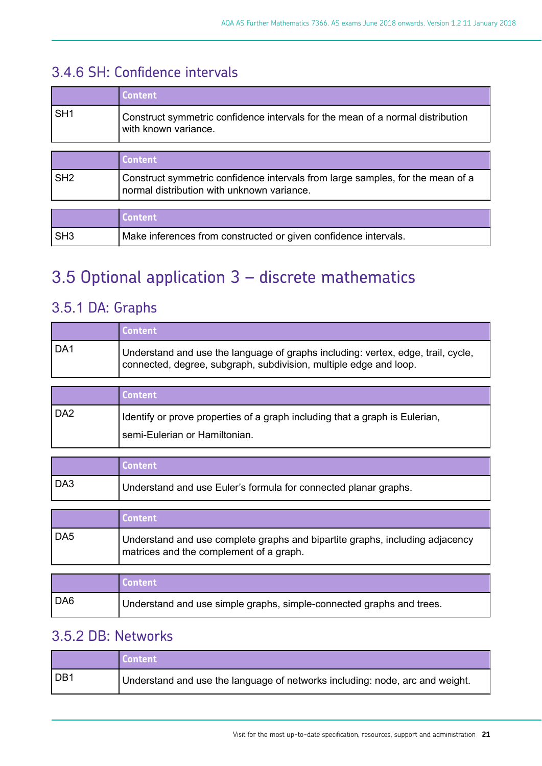# <span id="page-20-0"></span>3.4.6 SH: Confdence intervals

|       | <b>Content</b>                                                                                         |
|-------|--------------------------------------------------------------------------------------------------------|
| l SH1 | Construct symmetric confidence intervals for the mean of a normal distribution<br>with known variance. |

|      | <b>Content</b>                                                                                                               |
|------|------------------------------------------------------------------------------------------------------------------------------|
| ISH2 | Construct symmetric confidence intervals from large samples, for the mean of a<br>normal distribution with unknown variance. |

|     | <b>Content</b>                                                  |
|-----|-----------------------------------------------------------------|
| SH3 | Make inferences from constructed or given confidence intervals. |

# 3.5 Optional application 3 – discrete mathematics

# 3.5.1 DA: Graphs

|       | <b>Content</b>                                                                                                                                        |
|-------|-------------------------------------------------------------------------------------------------------------------------------------------------------|
| l DA1 | Understand and use the language of graphs including: vertex, edge, trail, cycle,<br>connected, degree, subgraph, subdivision, multiple edge and loop. |

|       | <b>Content</b>                                                                                               |
|-------|--------------------------------------------------------------------------------------------------------------|
| l DA2 | Identify or prove properties of a graph including that a graph is Eulerian,<br>semi-Eulerian or Hamiltonian. |

|     | <b>Content</b>                                                  |
|-----|-----------------------------------------------------------------|
| DA3 | Understand and use Euler's formula for connected planar graphs. |

|       | <b>Content</b>                                                                                                          |
|-------|-------------------------------------------------------------------------------------------------------------------------|
| l DA5 | Understand and use complete graphs and bipartite graphs, including adjacency<br>matrices and the complement of a graph. |

|     | <b>Content</b>                                                       |
|-----|----------------------------------------------------------------------|
| DA6 | Understand and use simple graphs, simple-connected graphs and trees. |

# 3.5.2 DB: Networks

|     | <b>Content</b>                                                               |
|-----|------------------------------------------------------------------------------|
| DB1 | Understand and use the language of networks including: node, arc and weight. |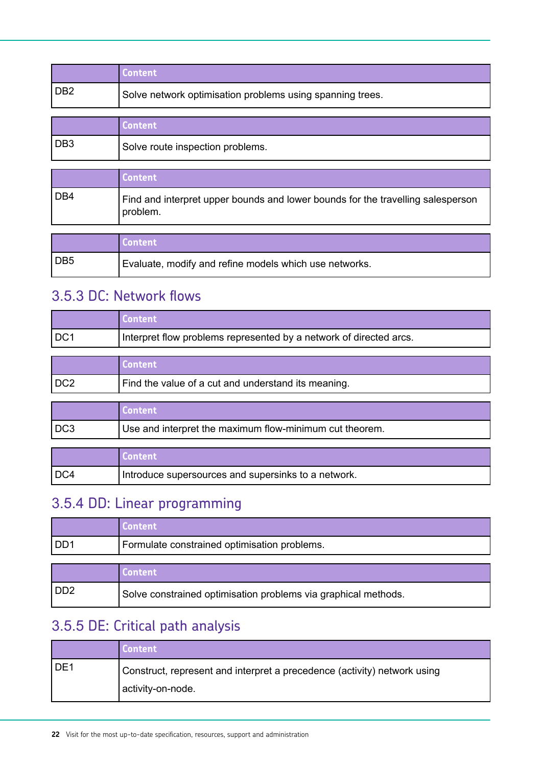|     | <b>Content</b>                                            |
|-----|-----------------------------------------------------------|
| DB2 | Solve network optimisation problems using spanning trees. |
|     |                                                           |
|     |                                                           |

|     | <b>Content 4</b>                 |
|-----|----------------------------------|
| DB3 | Solve route inspection problems. |

|       | <b>Content</b>                                                                              |
|-------|---------------------------------------------------------------------------------------------|
| l DB4 | Find and interpret upper bounds and lower bounds for the travelling salesperson<br>problem. |
|       |                                                                                             |
|       |                                                                                             |

|     | <b>Content</b>                                         |
|-----|--------------------------------------------------------|
| DB5 | Evaluate, modify and refine models which use networks. |

# 3.5.3 DC: Network flows

|     | <b>Content</b>                                                     |
|-----|--------------------------------------------------------------------|
| DC1 | Interpret flow problems represented by a network of directed arcs. |

|     | <b>Content</b>                                      |
|-----|-----------------------------------------------------|
| DC2 | Find the value of a cut and understand its meaning. |

|                 | <b>Content</b>                                          |
|-----------------|---------------------------------------------------------|
| DC <sub>3</sub> | Use and interpret the maximum flow-minimum cut theorem. |
|                 | <b>Content</b>                                          |
| DC4             | Introduce supersources and supersinks to a network.     |

# 3.5.4 DD: Linear programming

|                             | <b>Content</b>                                                 |
|-----------------------------|----------------------------------------------------------------|
| DD <sub>1</sub>             | Formulate constrained optimisation problems.                   |
|                             |                                                                |
|                             | <b>Content</b>                                                 |
| D <sub>D</sub> <sub>2</sub> | Solve constrained optimisation problems via graphical methods. |

# 3.5.5 DE: Critical path analysis

|       | <b>Content</b>                                                                                |
|-------|-----------------------------------------------------------------------------------------------|
| l DE1 | Construct, represent and interpret a precedence (activity) network using<br>activity-on-node. |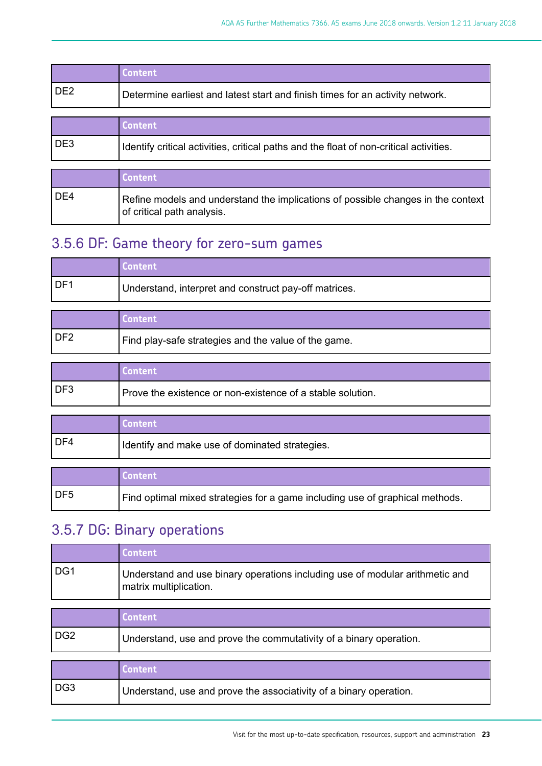|                 | <b>Content</b>                                                                         |
|-----------------|----------------------------------------------------------------------------------------|
| DE <sub>2</sub> | Determine earliest and latest start and finish times for an activity network.          |
|                 |                                                                                        |
|                 | <b>Content</b>                                                                         |
| DE <sub>3</sub> | Identify critical activities, critical paths and the float of non-critical activities. |

|       | <b>Content</b>                                                                                                 |
|-------|----------------------------------------------------------------------------------------------------------------|
| l DE4 | Refine models and understand the implications of possible changes in the context<br>of critical path analysis. |

# 3.5.6 DF: Game theory for zero-sum games

|       | Content                                               |
|-------|-------------------------------------------------------|
| l DF1 | Understand, interpret and construct pay-off matrices. |

|     | Content                                              |
|-----|------------------------------------------------------|
| DF2 | Find play-safe strategies and the value of the game. |

|       | <b>Content</b>                                               |
|-------|--------------------------------------------------------------|
| l DF3 | l Prove the existence or non-existence of a stable solution. |

|       | <b>Content</b>                                 |
|-------|------------------------------------------------|
| l DF4 | Identify and make use of dominated strategies. |
|       |                                                |

|       | <b>Content</b>                                                               |
|-------|------------------------------------------------------------------------------|
| l DF5 | Find optimal mixed strategies for a game including use of graphical methods. |

# 3.5.7 DG: Binary operations

|                 | <b>Content</b>                                                                                         |
|-----------------|--------------------------------------------------------------------------------------------------------|
| DG <sub>1</sub> | Understand and use binary operations including use of modular arithmetic and<br>matrix multiplication. |
|                 |                                                                                                        |

|     | <b>Content</b>                                                     |
|-----|--------------------------------------------------------------------|
| DG2 | Understand, use and prove the commutativity of a binary operation. |
|     |                                                                    |

|     | <b>Content</b>                                                     |
|-----|--------------------------------------------------------------------|
| DG3 | Understand, use and prove the associativity of a binary operation. |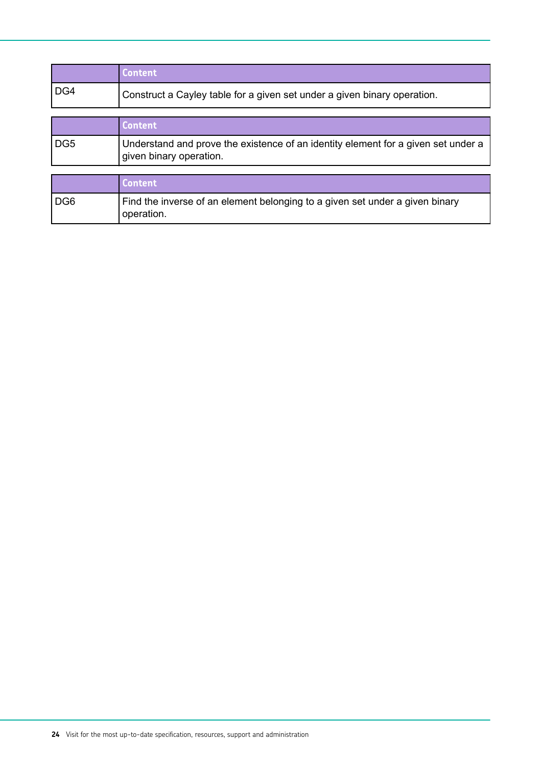|     | Content                                                                                                      |
|-----|--------------------------------------------------------------------------------------------------------------|
| DG4 | Construct a Cayley table for a given set under a given binary operation.                                     |
|     |                                                                                                              |
|     | <b>Content</b>                                                                                               |
| DG5 | Understand and prove the existence of an identity element for a given set under a<br>given binary operation. |
|     |                                                                                                              |
|     | <u>Content</u>                                                                                               |

| DG <sub>6</sub> | Find the inverse of an element belonging to a given set under a given binary |
|-----------------|------------------------------------------------------------------------------|
|                 | l operation.                                                                 |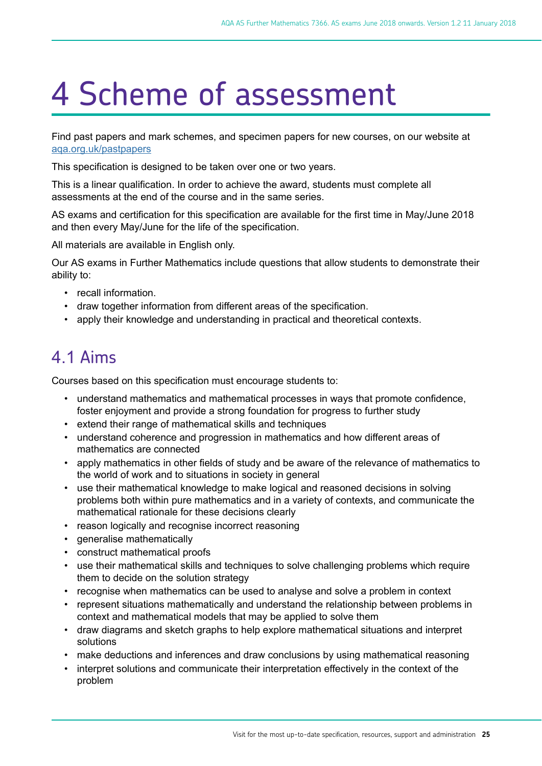# <span id="page-24-0"></span>4 Scheme of assessment

Find past papers and mark schemes, and specimen papers for new courses, on our website at [aqa.org.uk/pastpapers](http://www.aqa.org.uk/pastpapers)

This specification is designed to be taken over one or two years.

This is a linear qualification. In order to achieve the award, students must complete all assessments at the end of the course and in the same series.

AS exams and certification for this specification are available for the first time in May/June 2018 and then every May/June for the life of the specification.

All materials are available in English only.

Our AS exams in Further Mathematics include questions that allow students to demonstrate their ability to:

- recall information.
- draw together information from different areas of the specification.
- apply their knowledge and understanding in practical and theoretical contexts.

# 4.1 Aims

Courses based on this specification must encourage students to:

- understand mathematics and mathematical processes in ways that promote confidence, foster enjoyment and provide a strong foundation for progress to further study
- extend their range of mathematical skills and techniques
- understand coherence and progression in mathematics and how different areas of mathematics are connected
- apply mathematics in other fields of study and be aware of the relevance of mathematics to the world of work and to situations in society in general
- use their mathematical knowledge to make logical and reasoned decisions in solving problems both within pure mathematics and in a variety of contexts, and communicate the mathematical rationale for these decisions clearly
- reason logically and recognise incorrect reasoning
- generalise mathematically
- construct mathematical proofs
- use their mathematical skills and techniques to solve challenging problems which require them to decide on the solution strategy
- recognise when mathematics can be used to analyse and solve a problem in context
- represent situations mathematically and understand the relationship between problems in context and mathematical models that may be applied to solve them
- draw diagrams and sketch graphs to help explore mathematical situations and interpret solutions
- make deductions and inferences and draw conclusions by using mathematical reasoning
- interpret solutions and communicate their interpretation effectively in the context of the problem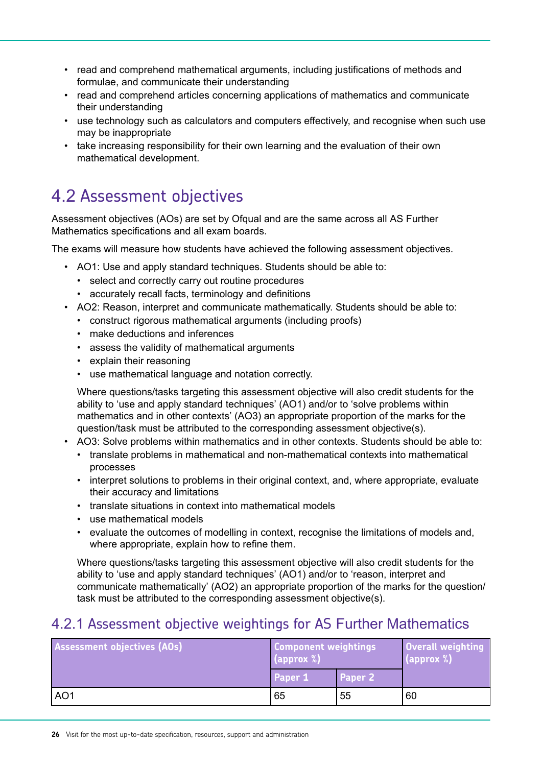- <span id="page-25-0"></span>• read and comprehend mathematical arguments, including justifications of methods and formulae, and communicate their understanding
- read and comprehend articles concerning applications of mathematics and communicate their understanding
- use technology such as calculators and computers effectively, and recognise when such use may be inappropriate
- take increasing responsibility for their own learning and the evaluation of their own mathematical development.

# 4.2 Assessment objectives

Assessment objectives (AOs) are set by Ofqual and are the same across all AS Further Mathematics specifications and all exam boards.

The exams will measure how students have achieved the following assessment objectives.

- AO1: Use and apply standard techniques. Students should be able to:
	- select and correctly carry out routine procedures
	- accurately recall facts, terminology and definitions
- AO2: Reason, interpret and communicate mathematically. Students should be able to:
	- construct rigorous mathematical arguments (including proofs)
	- make deductions and inferences
	- assess the validity of mathematical arguments
	- explain their reasoning
	- use mathematical language and notation correctly.

Where questions/tasks targeting this assessment objective will also credit students for the ability to 'use and apply standard techniques' (AO1) and/or to 'solve problems within mathematics and in other contexts' (AO3) an appropriate proportion of the marks for the question/task must be attributed to the corresponding assessment objective(s).

- AO3: Solve problems within mathematics and in other contexts. Students should be able to:
	- translate problems in mathematical and non-mathematical contexts into mathematical processes
	- interpret solutions to problems in their original context, and, where appropriate, evaluate their accuracy and limitations
	- translate situations in context into mathematical models
	- use mathematical models
	- evaluate the outcomes of modelling in context, recognise the limitations of models and, where appropriate, explain how to refine them.

Where questions/tasks targeting this assessment objective will also credit students for the ability to 'use and apply standard techniques' (AO1) and/or to 'reason, interpret and communicate mathematically' (AO2) an appropriate proportion of the marks for the question/ task must be attributed to the corresponding assessment objective(s).

# 4.2.1 Assessment objective weightings for AS Further Mathematics

| <b>Assessment objectives (AOs)</b> | <b>Component weightings</b><br>$\sqrt{2}$ (approx %) |                | Overall weighting<br>$\sqrt{approx}$ %) |
|------------------------------------|------------------------------------------------------|----------------|-----------------------------------------|
|                                    | <b>Paper 1</b>                                       | <b>Paper 2</b> |                                         |
| AO1                                | 65                                                   | 55             | 60                                      |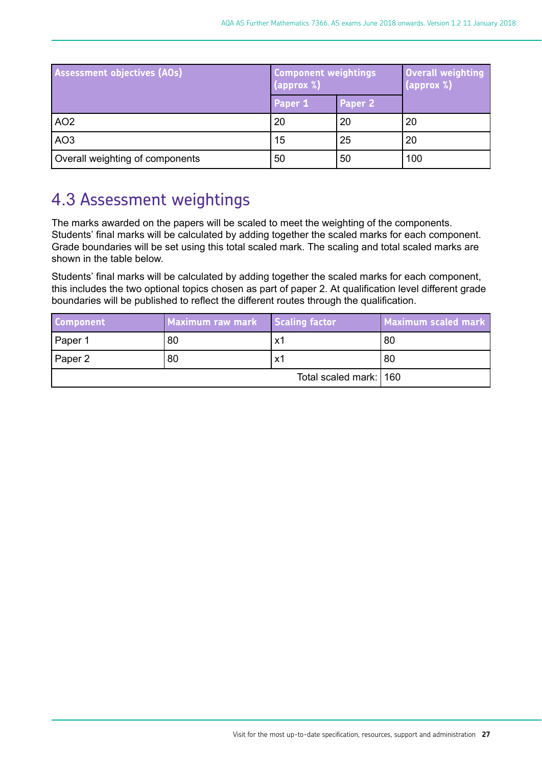<span id="page-26-0"></span>

| <b>Assessment objectives (AOs)</b> | <b>Component weightings</b><br>$\frac{1}{2}$ (approx %) |         | <b>Overall weighting</b><br>$\left\lceil \left( \text{approx } % \begin{array}{l l } \text{approx } % \end{array} \right) \right\rceil$ |
|------------------------------------|---------------------------------------------------------|---------|-----------------------------------------------------------------------------------------------------------------------------------------|
|                                    | Paper 1                                                 | Paper 2 |                                                                                                                                         |
| AO <sub>2</sub>                    | 20                                                      | 20      | 20                                                                                                                                      |
| AO <sub>3</sub>                    | 15                                                      | 25      | 20                                                                                                                                      |
| Overall weighting of components    | 50                                                      | 50      | 100                                                                                                                                     |

# 4.3 Assessment weightings

The marks awarded on the papers will be scaled to meet the weighting of the components. Students' final marks will be calculated by adding together the scaled marks for each component. Grade boundaries will be set using this total scaled mark. The scaling and total scaled marks are shown in the table below.

Students' final marks will be calculated by adding together the scaled marks for each component, this includes the two optional topics chosen as part of paper 2. At qualification level different grade boundaries will be published to reflect the different routes through the qualification.

| <b>Component</b> | <b>Maximum raw mark</b> | Scaling factor         | Maximum scaled mark |
|------------------|-------------------------|------------------------|---------------------|
| Paper 1          | 80                      | X1                     | 80                  |
| Paper 2          | 80                      | x                      | 80                  |
|                  |                         | Total scaled mark: 160 |                     |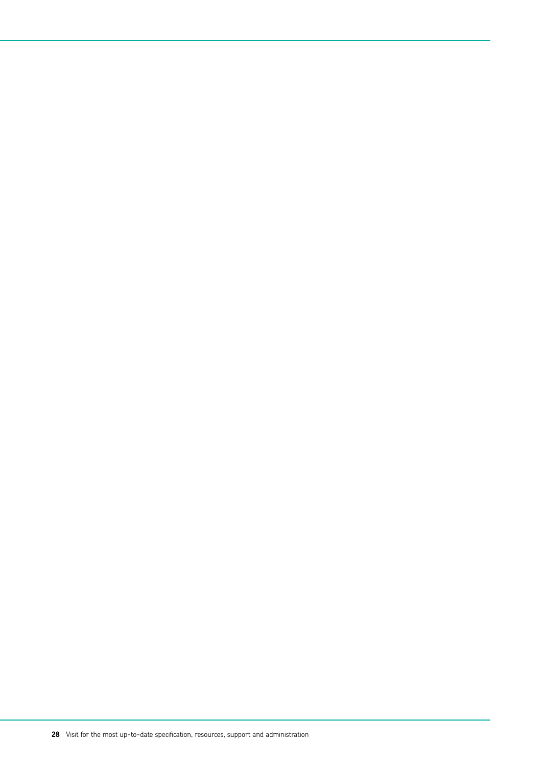28 Visit for the most up-to-date specification, resources, support and administration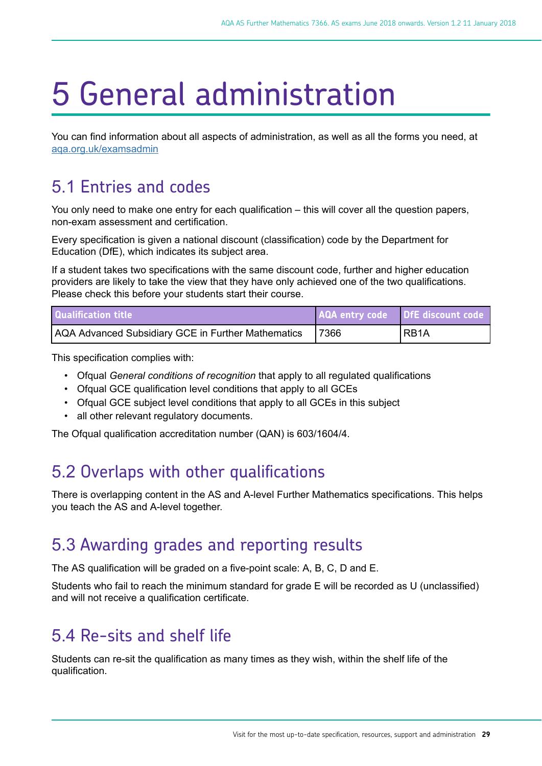# <span id="page-28-0"></span>5 General administration

You can find information about all aspects of administration, as well as all the forms you need, at [aqa.org.uk/examsadmin](http://aqa.org.uk/examsadmin)

# 5.1 Entries and codes

You only need to make one entry for each qualification – this will cover all the question papers, non-exam assessment and certification.

Every specification is given a national discount (classification) code by the Department for Education (DfE), which indicates its subject area.

If a student takes two specifications with the same discount code, further and higher education providers are likely to take the view that they have only achieved one of the two qualifications. Please check this before your students start their course.

| <b>Qualification title</b>                         |      | AQA entry code DfE discount code |
|----------------------------------------------------|------|----------------------------------|
| AQA Advanced Subsidiary GCE in Further Mathematics | 7366 | IRB <sub>1</sub> A               |

This specification complies with:

- Ofqual *General conditions of recognition* that apply to all regulated qualifications
- Ofqual GCE qualification level conditions that apply to all GCEs
- Ofqual GCE subject level conditions that apply to all GCEs in this subject
- all other relevant regulatory documents.

The Ofqual qualification accreditation number (QAN) is 603/1604/4.

# 5.2 Overlaps with other qualifcations

There is overlapping content in the AS and A-level Further Mathematics specifications. This helps you teach the AS and A-level together.

# 5.3 Awarding grades and reporting results

The AS qualification will be graded on a five-point scale: A, B, C, D and E.

Students who fail to reach the minimum standard for grade E will be recorded as U (unclassified) and will not receive a qualification certificate.

# 5.4 Re-sits and shelf life

Students can re-sit the qualification as many times as they wish, within the shelf life of the qualification.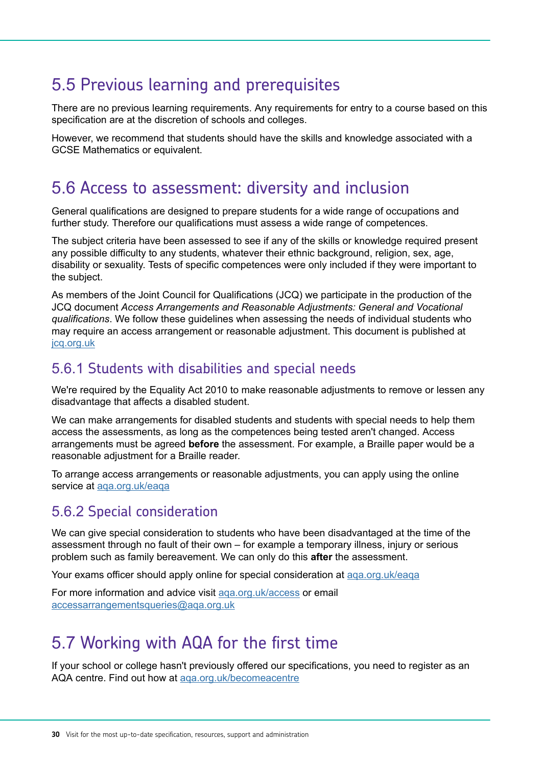# <span id="page-29-0"></span>5.5 Previous learning and prerequisites

There are no previous learning requirements. Any requirements for entry to a course based on this specification are at the discretion of schools and colleges.

However, we recommend that students should have the skills and knowledge associated with a GCSE Mathematics or equivalent.

# 5.6 Access to assessment: diversity and inclusion

General qualifications are designed to prepare students for a wide range of occupations and further study. Therefore our qualifications must assess a wide range of competences.

The subject criteria have been assessed to see if any of the skills or knowledge required present any possible difficulty to any students, whatever their ethnic background, religion, sex, age, disability or sexuality. Tests of specific competences were only included if they were important to the subject.

As members of the Joint Council for Qualifications (JCQ) we participate in the production of the JCQ document *Access Arrangements and Reasonable Adjustments: General and Vocational qualifications*. We follow these guidelines when assessing the needs of individual students who may require an access arrangement or reasonable adjustment. This document is published at [jcq.org.uk](http://www.jcq.org.uk/)

# 5.6.1 Students with disabilities and special needs

We're required by the Equality Act 2010 to make reasonable adjustments to remove or lessen any disadvantage that affects a disabled student.

We can make arrangements for disabled students and students with special needs to help them access the assessments, as long as the competences being tested aren't changed. Access arrangements must be agreed **before** the assessment. For example, a Braille paper would be a reasonable adjustment for a Braille reader.

To arrange access arrangements or reasonable adjustments, you can apply using the online service at aga.org.uk/eaga

# 5.6.2 Special consideration

We can give special consideration to students who have been disadvantaged at the time of the assessment through no fault of their own – for example a temporary illness, injury or serious problem such as family bereavement. We can only do this **after** the assessment.

Your exams officer should apply online for special consideration at [aqa.org.uk/eaqa](http://www.aqa.org.uk/eaqa)

For more information and advice visit [aqa.org.uk/access](http://www.aqa.org.uk/access) or email [accessarrangementsqueries@aqa.org.uk](mailto:accessarrangementsqueries@aqa.org.uk)

# 5.7 Working with AQA for the frst time

If your school or college hasn't previously offered our specifications, you need to register as an AQA centre. Find out how at [aqa.org.uk/becomeacentre](http://www.aqa.org.uk/becomeacentre)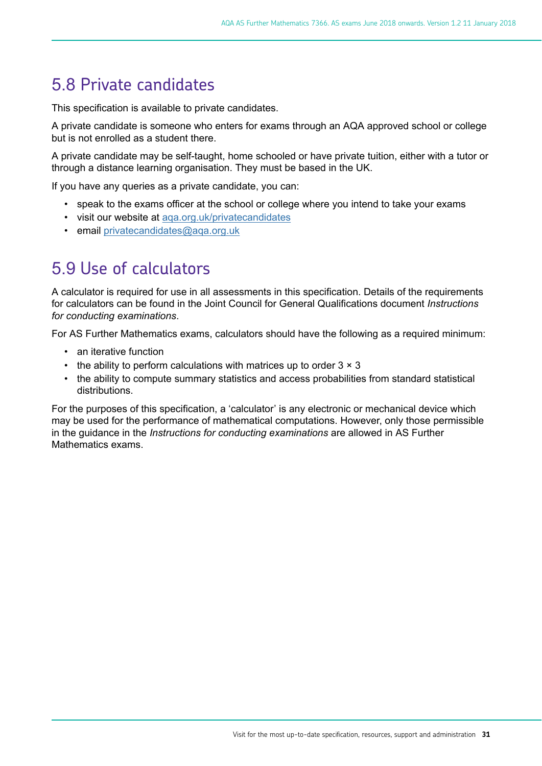# <span id="page-30-0"></span>5.8 Private candidates

This specification is available to private candidates.

A private candidate is someone who enters for exams through an AQA approved school or college but is not enrolled as a student there.

A private candidate may be self-taught, home schooled or have private tuition, either with a tutor or through a distance learning organisation. They must be based in the UK.

If you have any queries as a private candidate, you can:

- speak to the exams officer at the school or college where you intend to take your exams
- visit our website at [aqa.org.uk/privatecandidates](http://www.aqa.org.uk/privatecandidates)
- email [privatecandidates@aqa.org.uk](mailto:privatecandidates@aqa.org.uk)

# 5.9 Use of calculators

A calculator is required for use in all assessments in this specification. Details of the requirements for calculators can be found in the Joint Council for General Qualifications document *Instructions for conducting examinations*.

For AS Further Mathematics exams, calculators should have the following as a required minimum:

- an iterative function
- the ability to perform calculations with matrices up to order  $3 \times 3$
- the ability to compute summary statistics and access probabilities from standard statistical distributions.

For the purposes of this specification, a 'calculator' is any electronic or mechanical device which may be used for the performance of mathematical computations. However, only those permissible in the guidance in the *Instructions for conducting examinations* are allowed in AS Further Mathematics exams.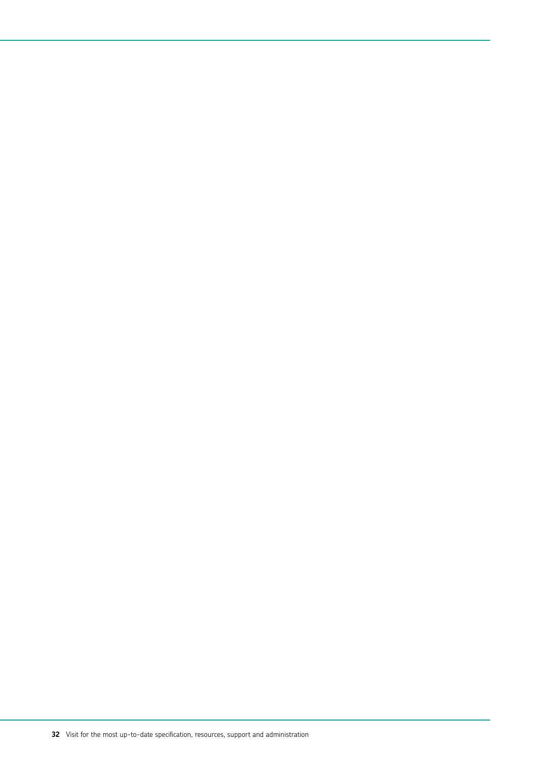Visit for the most up-to-date specifcation, resources, support and administration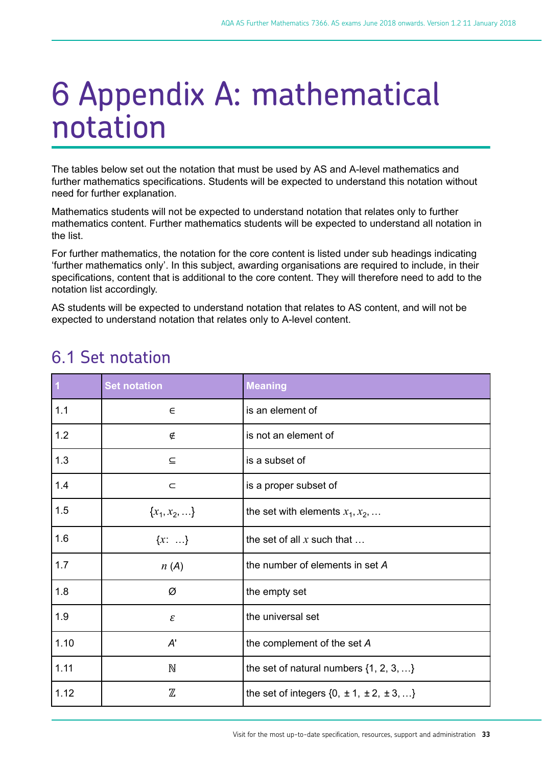# <span id="page-32-0"></span>6 Appendix A: mathematical notation

The tables below set out the notation that must be used by AS and A-level mathematics and further mathematics specifications. Students will be expected to understand this notation without need for further explanation.

Mathematics students will not be expected to understand notation that relates only to further mathematics content. Further mathematics students will be expected to understand all notation in the list.

For further mathematics, the notation for the core content is listed under sub headings indicating 'further mathematics only'. In this subject, awarding organisations are required to include, in their specifications, content that is additional to the core content. They will therefore need to add to the notation list accordingly.

AS students will be expected to understand notation that relates to AS content, and will not be expected to understand notation that relates only to A-level content.

|                           | is an element of                           |
|---------------------------|--------------------------------------------|
|                           | is not an element of                       |
|                           | Is a subset of                             |
|                           | is a proper subset of                      |
| ${x_1, x_2, }$            | the set with elements $x_1, x_2, $         |
| ${x: }$                   | the set of all x such that $\dots$         |
| n(A)                      | the number of elements in set $A$          |
|                           | the empty set                              |
| $\epsilon$ and $\epsilon$ | the universal set                          |
|                           | the complement of the set $A$              |
|                           | the set of natural numbers $\{1, 2, 3, \}$ |
|                           |                                            |

# 6.1 Set notation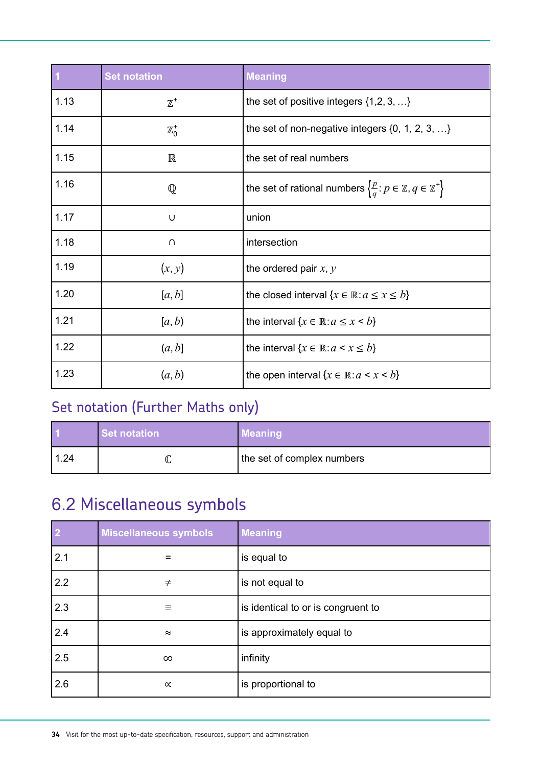<span id="page-33-0"></span>

| <b>Pation</b><br>the set of positive integers $\{1,2,3,\}$<br>the set of non-negative integers $\{0, 1, 2, 3, \}$ |                                                                                                 |
|-------------------------------------------------------------------------------------------------------------------|-------------------------------------------------------------------------------------------------|
|                                                                                                                   |                                                                                                 |
|                                                                                                                   |                                                                                                 |
|                                                                                                                   |                                                                                                 |
|                                                                                                                   |                                                                                                 |
|                                                                                                                   |                                                                                                 |
| the set of real numbers                                                                                           |                                                                                                 |
|                                                                                                                   |                                                                                                 |
|                                                                                                                   | the set of rational numbers $\left\{\frac{p}{q} : p \in \mathbb{Z}, q \in \mathbb{Z}^*\right\}$ |
| – Tunic                                                                                                           |                                                                                                 |
|                                                                                                                   |                                                                                                 |
| intersection                                                                                                      |                                                                                                 |
| (x, y)<br>the ordered pair $x, y$                                                                                 |                                                                                                 |
| the closed interval $\{x \in \mathbb{R} : a \leq x \leq b\}$                                                      |                                                                                                 |
| [a,b]                                                                                                             |                                                                                                 |
| the interval $\{x \in \mathbb{R} : a \leq x \leq b\}$<br>[a,b)                                                    |                                                                                                 |
| the interval $\{x \in \mathbb{R} : a \leq x \leq b\}$<br>(a, b]                                                   |                                                                                                 |
|                                                                                                                   |                                                                                                 |
|                                                                                                                   |                                                                                                 |

# Set notation (Further Maths only)

| the set of complex numbers |
|----------------------------|

# 6.2 Miscellaneous symbols

| allangous symbols | <b>STATE OF STATE OF STATE OF STATE OF STATE OF STATE OF STATE OF STATE OF STATE OF STATE OF STATE OF STATE OF S</b><br>-------- <u>-</u> |
|-------------------|-------------------------------------------------------------------------------------------------------------------------------------------|
|                   |                                                                                                                                           |
|                   | is not equal to                                                                                                                           |
|                   | is identical to or is congruent to                                                                                                        |
|                   | is approximately equal to                                                                                                                 |
|                   |                                                                                                                                           |
|                   | s proportional to                                                                                                                         |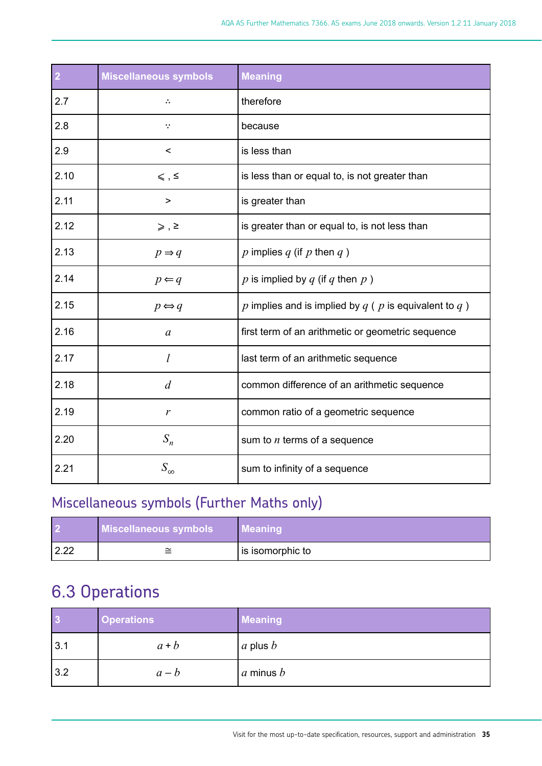<span id="page-34-0"></span>

| iscellaneous symbols  |                                                              |
|-----------------------|--------------------------------------------------------------|
|                       | therefore                                                    |
|                       | because                                                      |
|                       | $\vert$ is less than                                         |
| $\leqslant$ , $\leq$  | is less than or equal to, is not greater than                |
|                       | is greater than                                              |
| $\geqslant$ , $\geq$  | is greater than or equal to, is not less than                |
| $p \Rightarrow q$     | $\bigl  \, p$ implies $q$ (if $p$ then $q$ )                 |
| $p \Leftarrow q$      | p is implied by q (if q then p)                              |
| $p \Leftrightarrow q$ | p implies and is implied by $q$ ( $p$ is equivalent to $q$ ) |
|                       | first term of an arithmetic or geometric sequence            |
|                       | last term of an arithmetic sequence                          |
|                       | common difference of an arithmetic sequence                  |
|                       | common ratio of a geometric sequence                         |
|                       | sum to $n$ terms of a sequence                               |
|                       | sum to infinity of a sequence                                |

# Miscellaneous symbols (Further Maths only)

| <b>ols</b> Mean                                                                              |
|----------------------------------------------------------------------------------------------|
| $\alpha$ is isomorphic to the contract of $\alpha$ is isomorphic to the contract of $\alpha$ |

# 6.3 Operations

|                       | $\mathcal{L}^{\text{max}}_{\text{max}}$ and $\mathcal{L}^{\text{max}}_{\text{max}}$ and $\mathcal{L}^{\text{max}}_{\text{max}}$ |  |  |  |  |  |  |
|-----------------------|---------------------------------------------------------------------------------------------------------------------------------|--|--|--|--|--|--|
| $\mu + n$             | ,我们就是一个人的人,我们就是一个人的人,我们就是一个人的人,我们就是一个人的人,我们就是一个人的人,我们就是一个人的人,我们就是一个人的人,我们就是一个人的<br>$ a\>$ plus $b\>$                            |  |  |  |  |  |  |
| $\mathbf{u}$ $\alpha$ | $a$ minus $b$<br>,他们的人们就是一个人的人,他们的人们就是一个人的人,他们的人们就是一个人的人,他们的人们就是一个人的人,他们的人们就是一个人的人,他们的人们就是一个人的人,他                               |  |  |  |  |  |  |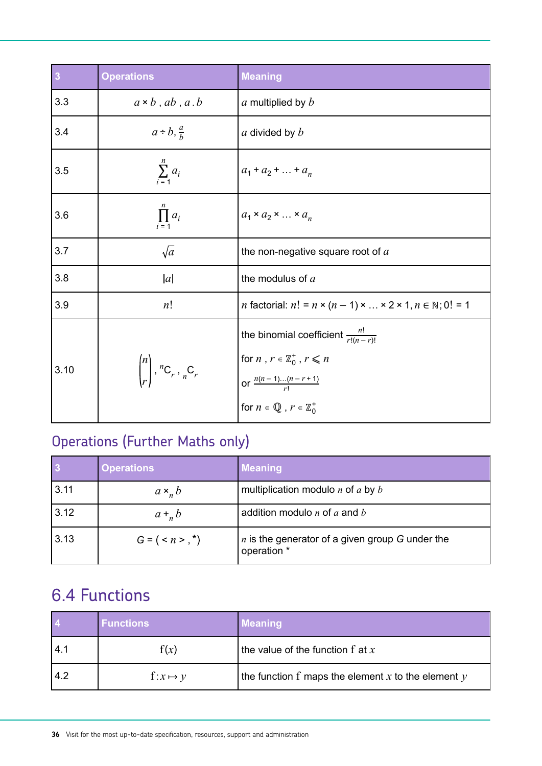<span id="page-35-0"></span>

| ,我们也不会有什么。""我们的人,我们也不会有什么?""我们的人,我们也不会有什么?""我们的人,我们也不会有什么?""我们的人,我们也不会有什么?""我们的人<br>the contract of the contract of the contract of the contract of the contract of the contract of the contract of |  |  |  |
|-----------------------------------------------------------------------------------------------------------------------------------------------------------------------------------------------------|--|--|--|
|                                                                                                                                                                                                     |  |  |  |
| ons and the<br>not be a series                                                                                                                                                                      |  |  |  |
| $a \times b$ , $ab$ , $a$ . $b$<br>$a$ multiplied by $b$                                                                                                                                            |  |  |  |
| $a \div b, \frac{a}{b}$<br>a divided by $b$                                                                                                                                                         |  |  |  |
| $a_1 + a_2 +  + a_n$<br>$\sum a_i$                                                                                                                                                                  |  |  |  |
| $a_1 \times a_2 \times  \times a_n$                                                                                                                                                                 |  |  |  |
| the non-negative square root of $a$                                                                                                                                                                 |  |  |  |
| <b>Contractive</b><br>the modulus of $a$                                                                                                                                                            |  |  |  |
| <i>n</i> factorial: $n! = n \times (n-1) \times  \times 2 \times 1, n \in \mathbb{N}; 0! = 1$<br><b>Contract Contract Contract</b><br>$\mathbf{u}$ .                                                |  |  |  |
|                                                                                                                                                                                                     |  |  |  |
| the binomial coefficient $\frac{n!}{r!(n-r)!}$                                                                                                                                                      |  |  |  |
| for $n$ , $r \in \mathbb{Z}_0^+$ , $r \leqslant n$<br>$\binom{n}{r}$ , <sup>n</sup> C <sub>r</sub> , <sub>n</sub> C <sub>r</sub><br>or $\frac{n(n-1)(n-r+1)}{n}$                                    |  |  |  |
| for $n \in \mathbb{Q}$ , $r \in \mathbb{Z}_0^+$                                                                                                                                                     |  |  |  |

# Operations (Further Maths only)

| $\sigma$ iativns          |                                                                       |
|---------------------------|-----------------------------------------------------------------------|
| ax h                      | multiplication modulo $n$ of $a$ by $b$                               |
| $a + h$                   | addition modulo <i>n</i> of <i>a</i> and <i>b</i>                     |
| $G = ($ < $n$ > $,$ $*$ ) | <i>n</i> is the generator of a given group G under the<br>  operation |

# 6.4 Functions

|                          | the value of the function f at $x$                 |  |
|--------------------------|----------------------------------------------------|--|
| $I: \mathcal{X} \mapsto$ | the function f maps the element x to the element y |  |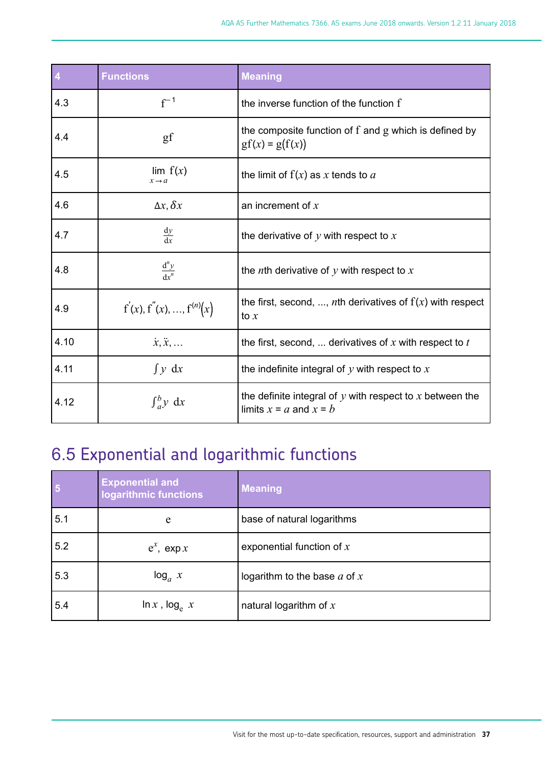<span id="page-36-0"></span>

| <b>Contract Contract Contract</b> |                                                                                        |
|-----------------------------------|----------------------------------------------------------------------------------------|
|                                   | the inverse function of the function $f$                                               |
|                                   | the composite function of $f$ and $g$ which is defined by<br>$g(f(x)) = g(f(x))$       |
| $\lim_{x \to a} f(x)$             | the limit of $f(x)$ as x tends to a                                                    |
| $\Delta x, \delta x$              | an increment of $x$                                                                    |
|                                   | the derivative of y with respect to $x$                                                |
|                                   | the <i>n</i> th derivative of y with respect to $x$                                    |
| $f'(x), f''(x), , f^{(n)}(x)$     | the first, second, , nth derivatives of $f(x)$ with respect                            |
| $\dot{x}, \ddot{x}, \ldots$       | the first, second,  derivatives of x with respect to t                                 |
| $\int y \, dx$                    | the indefinite integral of $y$ with respect to $x$                                     |
| $\int_{a}^{b} y \, dx$            | the definite integral of y with respect to x between the<br>limits $x = a$ and $x = b$ |

# 6.5 Exponential and logarithmic functions

| Exponential and<br>ogarithmic functions | <b>Integration</b>               |
|-----------------------------------------|----------------------------------|
|                                         | base of natural logarithms       |
| $e^x$ , $exp x$                         | exponential function of $x$      |
| $log_a x$                               | $\log$ arithm to the base a of x |
| In $x$ , log <sub>e</sub> $x$           | natural logarithm of $x$         |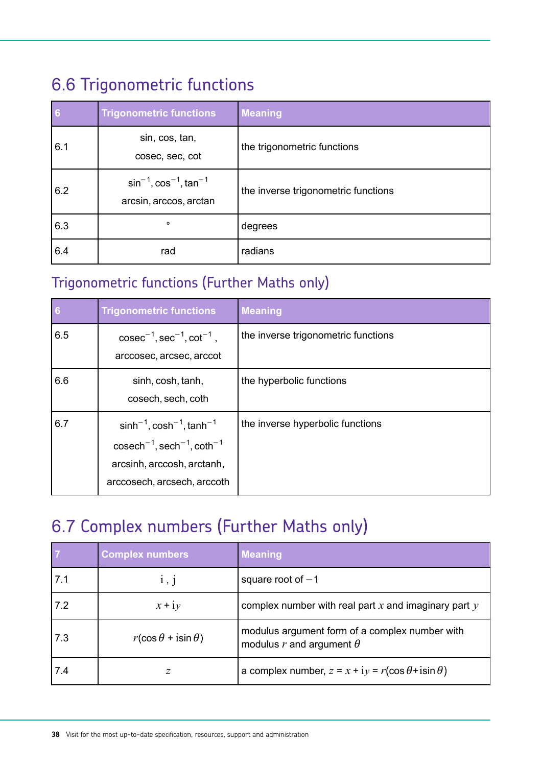# <span id="page-37-0"></span>6.6 Trigonometric functions

| $6\phantom{1}6$ | <b>Trigonometric functions</b>                                    | <b>Meaning</b>                      |
|-----------------|-------------------------------------------------------------------|-------------------------------------|
| 6.1             | sin, cos, tan,<br>cosec, sec, cot                                 | the trigonometric functions         |
| 6.2             | $\sin^{-1}$ , $\cos^{-1}$ , $\tan^{-1}$<br>arcsin, arccos, arctan | the inverse trigonometric functions |
| 6.3             | $\circ$                                                           | degrees                             |
| 6.4             | rad                                                               | radians                             |

# Trigonometric functions (Further Maths only)

| $6\phantom{1}6$ | <b>Trigonometric functions</b>                                                                                                                                                 | <b>Meaning</b>                      |
|-----------------|--------------------------------------------------------------------------------------------------------------------------------------------------------------------------------|-------------------------------------|
| 6.5             | $cosec^{-1}$ , $sec^{-1}$ , $cot^{-1}$ ,<br>arccosec, arcsec, arccot                                                                                                           | the inverse trigonometric functions |
| 6.6             | sinh, cosh, tanh,<br>cosech, sech, coth                                                                                                                                        | the hyperbolic functions            |
| 6.7             | $sinh^{-1}$ , cosh <sup>-1</sup> , tanh <sup>-1</sup><br>$\cosech^{-1}$ , sech <sup>-1</sup> , coth <sup>-1</sup><br>arcsinh, arccosh, arctanh,<br>arccosech, arcsech, arccoth | the inverse hyperbolic functions    |

# 6.7 Complex numbers (Further Maths only)

| nnlav numhara<br>$m$ previlumers |                                                                                       |  |
|----------------------------------|---------------------------------------------------------------------------------------|--|
|                                  | $\vert$ square root of $-1$                                                           |  |
| $x + iy$                         | וי <sub>י</sub> . ex number with real part $x$ and imaginary part $y$ $\perp$         |  |
| $r(\cos\theta + i\sin\theta)$    | modulus argument form of a complex number with<br>  modulus $r$ and argument $\theta$ |  |
|                                  | a complex number, $z = x + iy = r(\cos \theta + i \sin \theta)$                       |  |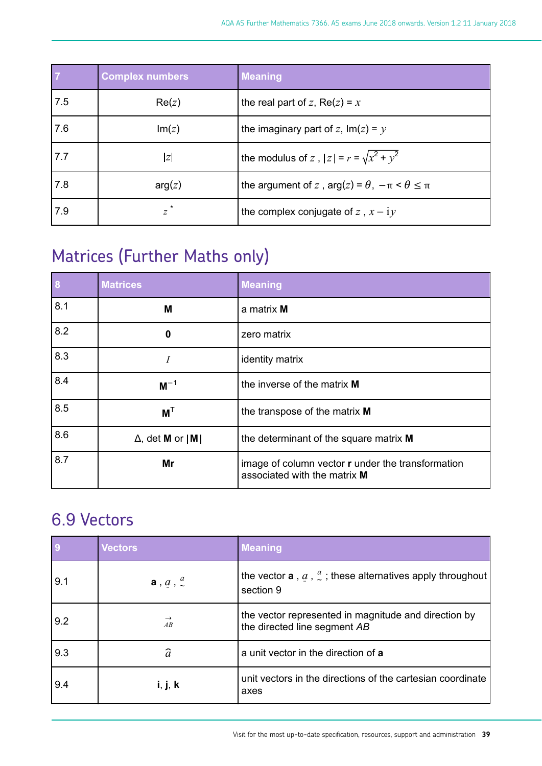<span id="page-38-0"></span>

| <b>Complex numbers</b> | Meaning                                                        |
|------------------------|----------------------------------------------------------------|
| $\mathsf{Re}(z)$       | the real part of z, Re(z) = x                                  |
| Im(z)                  | the imaginary part of z, $Im(z) = y$                           |
|                        | the modulus of z, $ z  = r = \sqrt{x^2 + y^2}$                 |
| arg(z)                 | the argument of z, $arg(z) = \theta$ , $-\pi < \theta \le \pi$ |
|                        | the complex conjugate of z, $x - iy$                           |

# Matrices (Further Maths only)

| zero matrix                                                                                     |
|-------------------------------------------------------------------------------------------------|
| identity matrix                                                                                 |
| the inverse of the matrix M                                                                     |
| the transpose of the matrix $M$                                                                 |
| $\Delta$ , det <b>M</b> or  M      the determinant of the square matrix <b>M</b>                |
| image of column vector <b>r</b> under the transformation<br>associated with the matrix <b>M</b> |
|                                                                                                 |

# 6.9 Vectors

| <b>a</b> , $q$ , $\frac{a}{\sim}$ | the vector <b>a</b> , $q$ , $z$ ; these alternatives apply throughout<br>  section J |
|-----------------------------------|--------------------------------------------------------------------------------------|
|                                   | the vector represented in magnitude and direction by<br>the directed line segment AB |
|                                   | a unit vector in the direction of a                                                  |
| <b>i</b> , <b>j</b> , <b>k</b>    | unit vectors in the directions of the cartesian coordinate                           |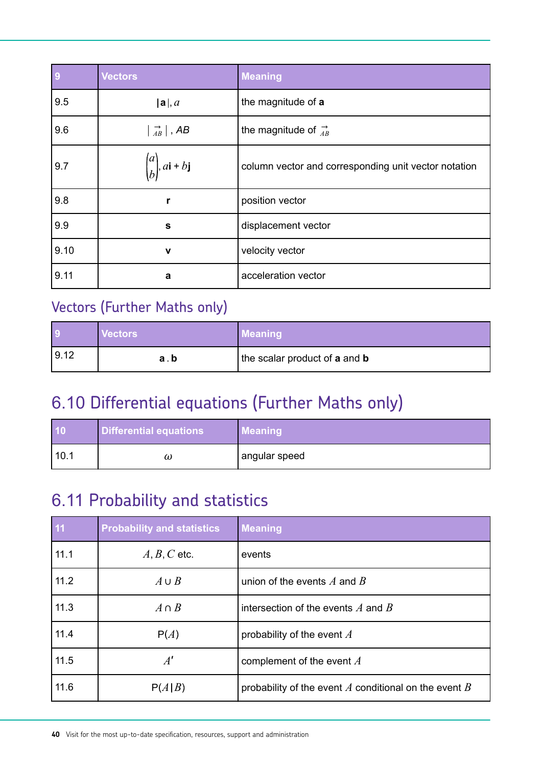<span id="page-39-0"></span>

| a , a                                                                | the magnitude of $a$                                 |
|----------------------------------------------------------------------|------------------------------------------------------|
| $\left  \begin{array}{c} \rightarrow \\ AB \end{array} \right $ , AB | the magnitude of $\overrightarrow{AB}$               |
| $\sim$ $\sim$ $\sim$<br>$\binom{a}{b}$ , ai + bj                     | column vector and corresponding unit vector notation |
|                                                                      | position vector                                      |
|                                                                      | displacement vector                                  |
|                                                                      | velocity vector                                      |
|                                                                      | acceleration vector                                  |

# Vectors (Further Maths only)

# 6.10 Differential equations (Further Maths only)

| $\sim$ $\sim$ $\sim$ $\sim$ |  |  |  |  |
|-----------------------------|--|--|--|--|
| angular speed               |  |  |  |  |

# 6.11 Probability and statistics

| bability and statistics $\begin{array}{ c c } \hline \end{array}$ | eaning and the contract of the contract of the contract of the contract of the contract of the contract of the |
|-------------------------------------------------------------------|----------------------------------------------------------------------------------------------------------------|
| $A, B, C$ etc.                                                    | events                                                                                                         |
| $A \cup B$                                                        | union of the events $A$ and $B$                                                                                |
| $A \cap B$                                                        | intersection of the events $A$ and $B$                                                                         |
| P(A)                                                              | probability of the event $A$                                                                                   |
|                                                                   | complement of the event $A$                                                                                    |
|                                                                   |                                                                                                                |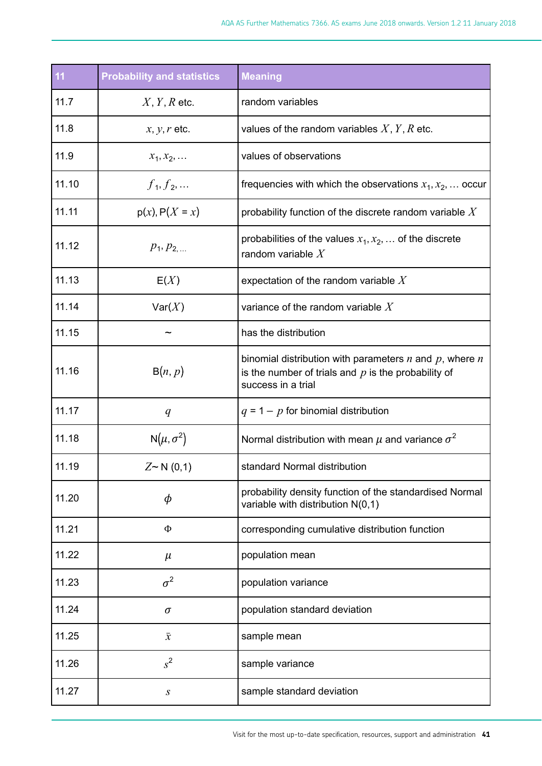| pability and statistic             |                                                                                                                        |
|------------------------------------|------------------------------------------------------------------------------------------------------------------------|
| $X, Y, R$ etc.                     | random variables                                                                                                       |
| $x, y, r$ etc.                     | values of the random variables $X, Y, R$ etc.                                                                          |
| $x_1, x_2, $                       | values of observations                                                                                                 |
| $f_1, f_2, $                       | frequencies with which the observations $x_1, x_2, $ occur                                                             |
| $p(x), P(X = x)$                   | probability function of the discrete random variable $X$                                                               |
| $p_1, p_2, $                       | probabilities of the values $x_1, x_2, $ of the discrete<br>$\vert$ random variable $X$                                |
| E(X)                               | $\big $ expectation of the random variable $X$                                                                         |
| Var(X)                             | variance of the random variable $X$                                                                                    |
|                                    | has the distribution                                                                                                   |
| B(n, p)<br>1 1 6                   | binomial distribution with parameters n and p, where $n \mid$<br>is the number of trials and $p$ is the probability of |
|                                    | success in a trial                                                                                                     |
|                                    | $\boxed{q}$ = 1 – p for binomial distribution                                                                          |
| $\mathsf{N}\big(\mu,\sigma^2\big)$ | Normal distribution with mean $\mu$ and variance $\sigma^2$                                                            |
|                                    | $Z \sim N(0,1)$ standard Normal distribution                                                                           |
|                                    | probability density function of the standardised Normal variable with distribution $N(0,1)$                            |
|                                    | corresponding cumulative distribution function                                                                         |
|                                    | population mean                                                                                                        |
|                                    | population variance                                                                                                    |
|                                    | population standard deviation                                                                                          |
|                                    | sample mean                                                                                                            |
|                                    | sample variance                                                                                                        |
|                                    | sample standard deviation                                                                                              |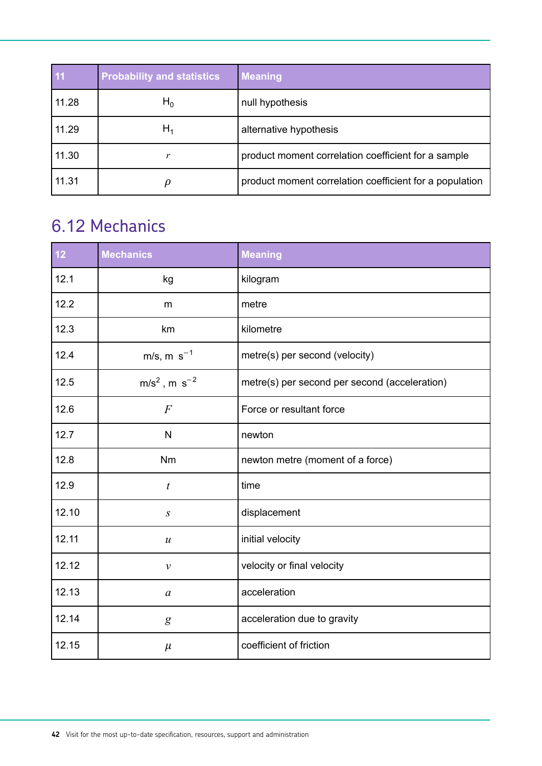<span id="page-41-0"></span>

| shahilifu and atatiation<br><i>poapnity and stati</i> |                                                                 |
|-------------------------------------------------------|-----------------------------------------------------------------|
|                                                       | null hypothesis                                                 |
|                                                       | alternative hypothesis                                          |
|                                                       | product moment correlation coefficient for a sample             |
|                                                       | $ $ product moment correlation coefficient for a population $ $ |

# 6.12 Mechanics

| ${\sf chances}$ and ${\sf chanics}$ |                                               |
|-------------------------------------|-----------------------------------------------|
|                                     | kiloaram                                      |
|                                     |                                               |
| km                                  | kilometre                                     |
| m/s, m $s^{-1}$                     | metre(s) per second (velocity)                |
| $m/s2$ , m s <sup>-2</sup>          | metre(s) per second per second (acceleration) |
| F                                   | Force or resultant force                      |
|                                     | newton                                        |
| <b>Nm</b>                           | newton metre (moment of a force)              |
|                                     |                                               |
|                                     | displacement                                  |
|                                     | initial velocity                              |
|                                     | velocity or final velocity                    |
|                                     | acceleration                                  |
|                                     | acceleration due to gravity                   |
|                                     | coefficient of friction                       |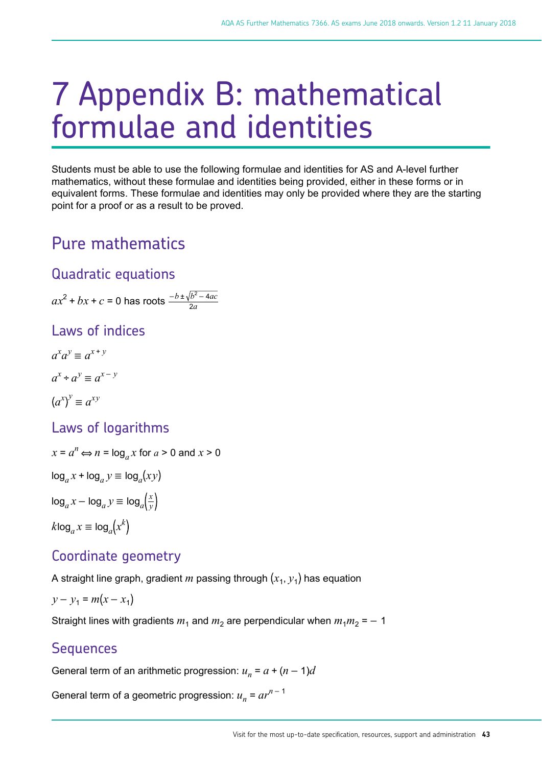# 7 Appendix B: mathematical formulae and identities *x* for *a*  $\frac{1}{2}$  *x*  $\frac{1}{2}$  *x*  $\frac{1}{2}$  *x x*  $\frac{1}{2}$  *x x x*  $\frac{1}{2}$  *x x*  $\frac{1}{2}$  *x x*  $\frac{1}{2}$  *x x*  $\frac{1}{2}$  *x x*  $\frac{1}{2}$  *x x*  $\frac{1}{2}$  *x x*  $\frac{1}{2}$  *x x*

<span id="page-42-0"></span>Students must be able to use the following formulae and identities for AS and A-level further mathematics, without these formulae and identities being provided, either in these forms or in equivalent forms. These formulae and identities may only be provided where they are the starting point for a proof or as a result to be proved.

# Pure mathematics

# Quadratic equations

$$
ax^2 + bx + c = 0
$$
 has roots  $\frac{-b \pm \sqrt{b^2 - 4ac}}{2a}$ 

# Laws of indices

$$
a^{x}a^{y} \equiv a^{x+y}
$$

$$
a^{x} \div a^{y} \equiv a^{x-y}
$$

$$
(a^{x})^{y} \equiv a^{xy}
$$

# Laws of logarithms

$$
x = a^n \Leftrightarrow n = \log_a x \text{ for } a > 0 \text{ and } x
$$
  

$$
\log_a x + \log_a y \equiv \log_a (xy)
$$
  

$$
\log_a x - \log_a y \equiv \log_a \left(\frac{x}{y}\right)
$$
  

$$
k \log_a x \equiv \log_a \left(\frac{x}{y}\right)
$$

# Coordinate geometry

A straight line graph, gradient  $m$  passing through  $(x_{1},y_{1})$  has equation

$$
y - y_1 = m(x - x_1)
$$

Straight lines with gradients  $m_1$  and  $m_2$  are perpendicular when  $m_1m_2$  =  $-$  1

# **Sequences**

General term of an arithmetic progression:  $u_n = a + (n - 1)d$ 

General term of a geometric progression:  $u_n = ar^{n-1}$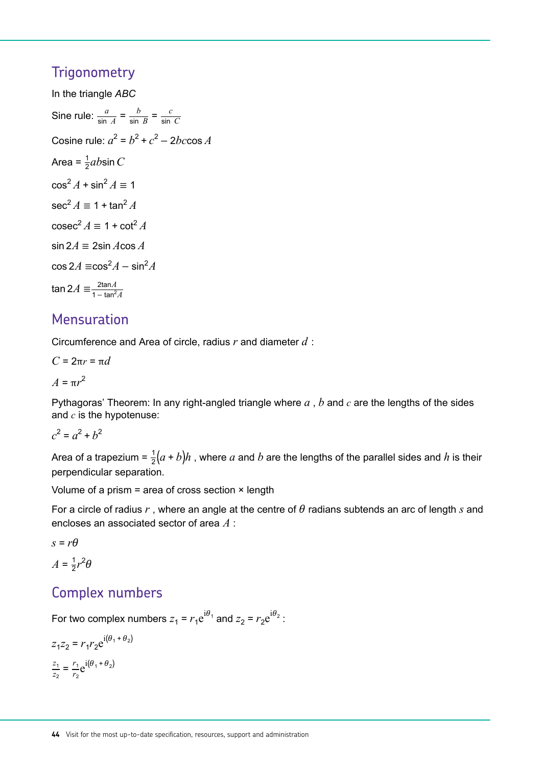# **Trigonometry**

In the triangle *ABC* Sine rule:  $\frac{a}{\sin A} = \frac{b}{\sin B} = \frac{c}{\sin C}$  $\sin B$   $\sin C$  $=\frac{c}{\sin C}$  $\sin C$ Cosine rule:  $a^2 = b^2 + c^2 - 2bc \cos A$ Area =  $\frac{1}{2}$  $\frac{1}{2}$ *ab*sin *C*  $\cos^2 A + \sin^2 A \equiv 1$  $sec^2 A = 1 + tan^2 A$  $\csc^2 A \equiv 1 + \cot^2 A$  $\sin 2A \equiv 2\sin A \cos A$  $\cos 2A = \cos^2 A - \sin^2 A$  $\tan 2A \equiv \frac{2\tan A}{1-\tan^2 A}$  $1 - \tan^2 A$ 

# Mensuration

Circumference and Area of circle, radius *r* and diameter *d* :

$$
C = 2\pi r = \pi d
$$

$$
A = \pi r^2
$$

Pythagoras' Theorem: In any right-angled triangle where *a* , *b* and *c* are the lengths of the sides and *c* is the hypotenuse:

$$
c^2 = a^2 + b^2
$$

Area of a trapezium =  $\frac{1}{2}(a+b)h$  , where  $a$  and  $b$  are the lengths of the parallel sides and  $h$  is their perpendicular separation.

Volume of a prism = area of cross section  $\times$  length

For a circle of radius  $r$ , where an angle at the centre of  $\theta$  radians subtends an arc of length  $s$  and encloses an associated sector of area *A* :

 $s = r\theta$  $A = \frac{1}{2}$ 

# $\frac{1}{2}r^2\theta$

# Complex numbers

For two complex numbers  $z_1 = r_1 e^{i\theta_1}$  and  $z_2 = r_2 e^{i\theta_2}$  :

$$
z_1 z_2 = r_1 r_2 e^{i(\theta_1 + \theta_2)}
$$

$$
\frac{z_1}{z_2} = \frac{r_1}{r_2} e^{i(\theta_1 + \theta_2)}
$$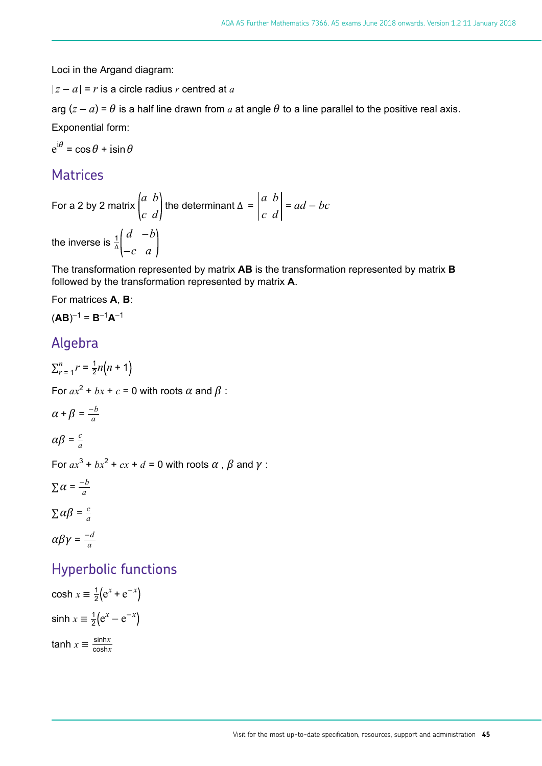Loci in the Argand diagram:

 $|z - a| = r$  is a circle radius *r* centred at *a* 

arg  $(z - a) = \theta$  is a half line drawn from *a* at angle  $\theta$  to a line parallel to the positive real axis.

Exponential form:

 $e^{i\theta} = \cos \theta + i \sin \theta$ 

# **Matrices**

# For a 2 by 2 matrix  $\begin{bmatrix} 1 & 1 \end{bmatrix}$  the determinant  $\Delta =$ *a0A AS Further Mathematics 7366. AS exams June 2018 onwards. Version 1.2 11 January 2018***<br>
<b>iagram:**<br> **and it line drawn from a at angle**  $\theta$  **to a line parallel to the positive real axis.**<br> **a**<br> **a**<br> **a**<br> **b**<br> **a**<br> **a**<br> *coh tis* Farber Mathematics 7366. AS exams Jone 2018 envarist Version 1.2.11 January 2018<br> **iagram:**<br> **call discuss contract at** *c*<br> **a**<br> **d**<br> **d**<br> **d**<br> **d**<br> **c**<br> **d**<br> **d**<br> **d**<br> **c**<br> **d**<br> **d**<br> **c**<br> **d**<br> **d**<br> **c**<br> **d**<br> *a b*  $\begin{vmatrix} a & b \\ c & d \end{vmatrix} = ad - bc$ the inverse is  $\frac{1}{\Delta}$ *d* −*b* −*c a*

The transformation represented by matrix **AB** is the transformation represented by matrix **B** followed by the transformation represented by matrix **A**.

For matrices **A**, **B**:

 $(AB)^{-1} = B^{-1}A^{-1}$ 

# Algebra

 $\sum_{r=1}^{n} r = \frac{1}{2}$  $\frac{1}{2}n(n+1)$ For  $ax^2 + bx + c = 0$  with roots  $\alpha$  and  $\beta$  :  $\alpha + \beta = \frac{-b}{a}$ *a*  $\alpha\beta = \frac{c}{a}$ *a* For  $ax^3 + bx^2 + cx + d = 0$  with roots  $\alpha$  ,  $\beta$  and  $\gamma$  :  $\sum \alpha = \frac{-b}{a}$ *a*  $\sum \alpha \beta = \frac{c}{a}$ *a*  $\alpha\beta\gamma=\frac{-d}{a}$ *a*

# Hyperbolic functions

cosh  $x \equiv \frac{1}{2} (e^x + e^{-x})$ 1  $\frac{1}{2}$ ( $e^{x} + e^{-x}$  $\sinh x \equiv \frac{1}{2}(e^x - e^{-x})$ 1  $\frac{1}{2} (e^x - e^{-x})$  $tanh\ x \equiv \frac{sin\h x}{cosh\ x}$ sinh*x* cosh*x*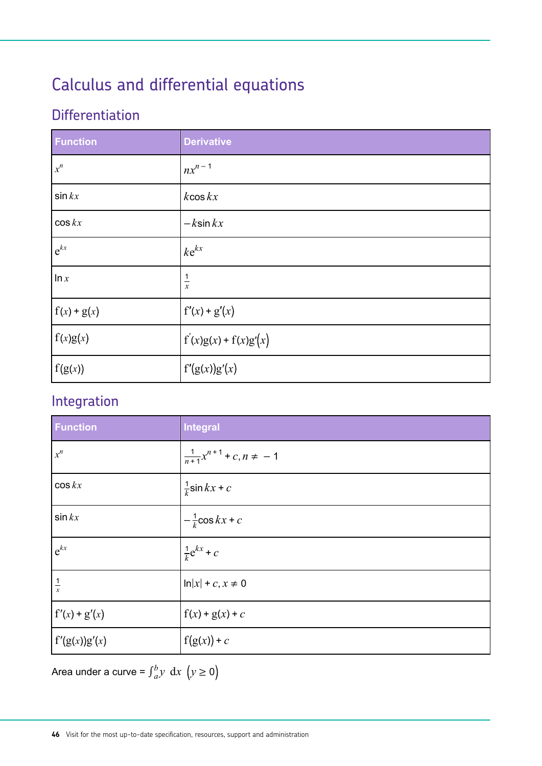# Calculus and differential equations

# **Differentiation**

| Function           | <b>Derivative</b>       |
|--------------------|-------------------------|
| $x^n$              | $nx^{n-1}$              |
| $\sin kx$          | $k \cos kx$             |
| $\cos kx$          | $-k\sin kx$             |
| $e^{kx}$           | $ke^{kx}$               |
| $\ln x$            |                         |
| $\int$ f(x) + g(x) | $f'(x) + g'(x)$         |
| $\int$ f(x)g(x)    | $f'(x)g(x) + f(x)g'(x)$ |
| $\Big  f(g(x))$    | f'(g(x))g'(x)           |

# Integration

| <b>Function</b>      | Integral                              |
|----------------------|---------------------------------------|
| $\left  x^n \right $ | $\frac{1}{n+1}x^{n+1} + c, n \neq -1$ |
| $\cos kx$            | $\frac{1}{k}$ sin $kx + c$            |
| $\sin kx$            | $-\frac{1}{k}\cos kx + c$             |
| $e^{kx}$             | $\frac{1}{k}e^{kx} + c$               |
| $\frac{1}{x}$        | $\ln x  + c, x \neq 0$                |
| $f'(x) + g'(x)$      | $\int f(x) + g(x) + c$                |
| $\int f'(g(x))g'(x)$ | $f(g(x)) + c$                         |

Area under a curve =  $\int_{a}^{b} y \, dx \, (y \ge 0)$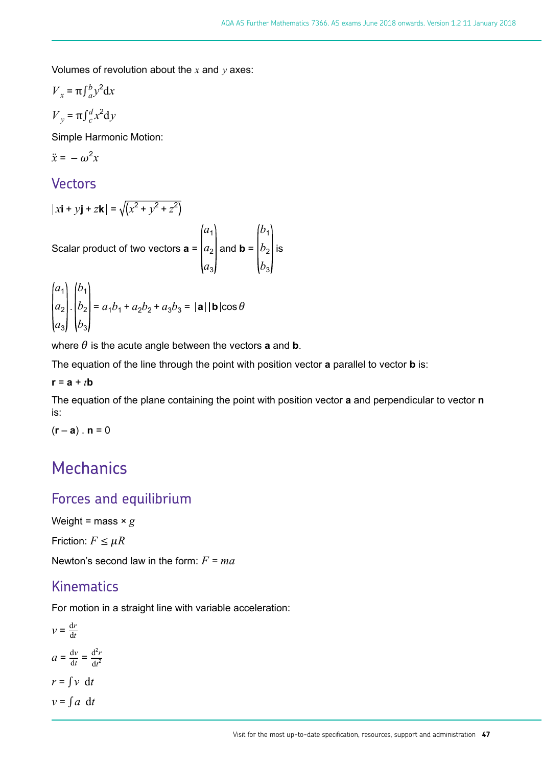Volumes of revolution about the *x* and *y* axes:

$$
V_x = \pi \int_a^b y^2 dx
$$

$$
V_y = \pi \int_c^d x^2 dy
$$

*Vx*

Simple Harmonic Motion:

$$
\ddot{x} = -\omega^2 x
$$

# Vectors

$$
|x\mathbf{i} + y\mathbf{j} + z\mathbf{k}| = \sqrt{(x^2 + y^2 + z^2)}
$$

Scalar product of two vectors  $\mathbf{a} = \begin{bmatrix} a_1 \\ a_2 \end{bmatrix}$  and  $\mathbf{b} = \begin{bmatrix} b_1 \\ b_2 \end{bmatrix}$  is  $a_3$   $|b_3|$ and **b** =  $\begin{pmatrix} b_1 \\ b_2 \end{pmatrix}$  is  $b_2$  is  $b_3$ 

$$
\begin{pmatrix} a_1 \\ a_2 \\ a_3 \end{pmatrix} \cdot \begin{pmatrix} b_1 \\ b_2 \\ b_3 \end{pmatrix} = a_1b_1 + a_2b_2 + a_3b_3 = |\mathbf{a}| |\mathbf{b}| \cos \theta
$$

where  $\theta$  is the acute angle between the vectors **a** and **b**.

The equation of the line through the point with position vector **a** parallel to vector **b** is:

#### **r** =  $a + t$ **b**

The equation of the plane containing the point with position vector **a** and perpendicular to vector **n** is:

 $(r - a)$ . **n** = 0

# **Mechanics**

# Forces and equilibrium

Weight = mass  $\times$  *g* 

Friction:  $F \leq \mu R$ 

Newton's second law in the form: *F* = *ma*

# Kinematics

For motion in a straight line with variable acceleration:

 $v = \frac{dr}{dt}$  $v = \frac{dr}{dt}$ d*t*  $a = \frac{dv}{dt}$  $rac{\mathrm{d}v}{\mathrm{d}t} = \frac{\mathrm{d}^2r}{\mathrm{d}t^2}$  $dt^2$ *r* = ∫*v* d*t v* = ∫*a* d*t*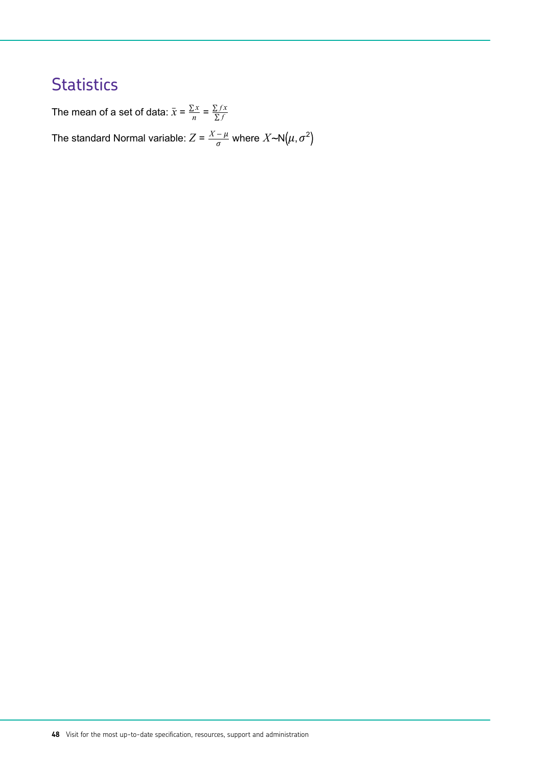# **Statistics**

The mean of a set of data:  $\bar{x} = \frac{\sum x}{n}$  $\frac{\sum fx}{n} = \frac{\sum fx}{\sum f}$ ∑ *f* The standard Normal variable:  $Z = \frac{X - \mu}{\sigma}$  $\frac{-\mu}{\sigma}$  where  $X$ ~N $(\mu, \sigma^2)$